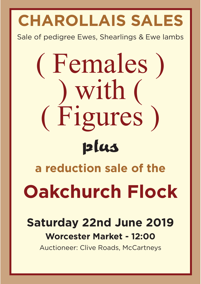# **CHAROLLAIS SALES**

Sale of pedigree Ewes, Shearlings & Ewe lambs

# (Females)<br>) with ( Figures  $\frac{1}{10}$   $\frac{1}{10}$   $\frac{1}{10}$   $\frac{1}{10}$ **plus a reduction sale of the Oakchurch Flock**

# **Saturday 22nd June 2019 Worcester Market - 12:00**

Auctioneer: Clive Roads, McCartneys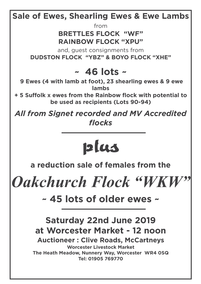# **Sale of Ewes, Shearling Ewes & Ewe Lambs**

from

# **BRETTLES FLOCK "WF" RAINBOW FLOCK "XPU"**

and, guest consignments from **DUDSTON FLOCK "YBZ" & BOYO FLOCK "XHE"** 

# **~ 46 lots ~**

**9 Ewes (4 with lamb at foot), 23 shearling ewes & 9 ewe lambs** 

**+ 5 Suffolk x ewes from the Rainbow flock with potential to be used as recipients (Lots 90-94)** 

*All from Signet recorded and MV Accredited flocks*

# **plus**

**a reduction sale of females from the** 

*Oakchurch Flock "WKW"*

**~ 45 lots of older ewes ~**

## **Saturday 22nd June 2019 at Worcester Market - 12 noon Auctioneer : Clive Roads, McCartneys Worcester Livestock Market The Heath Meadow, Nunnery Way, Worcester WR4 0SQ Tel: 01905 769770**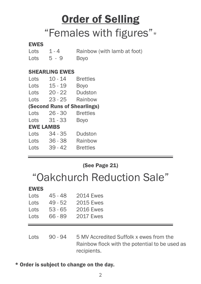# **Order of Selling** "Females with figures"\*

### **EWES**

- Lots 1 4 Rainbow (with lamb at foot)
- Lots 5 9 Boyo

### SHEARLING EWES

| Lots             | $10 - 14$                          | <b>Brettles</b> |
|------------------|------------------------------------|-----------------|
| Lots             | $15 - 19$                          | <b>Boyo</b>     |
| Lots             | $20 - 22$                          | Dudston         |
| Lots             | $23 - 25$                          | Rainbow         |
|                  | <b>(Second Runs of Shearlings)</b> |                 |
| Lots             | $26 - 30$                          | <b>Brettles</b> |
| Lots             | $31 - 33$                          | <b>Boyo</b>     |
| <b>EWE LAMBS</b> |                                    |                 |
| Lots             | $34 - 35$                          | Dudston         |
| Lots             | $36 - 38$                          | Rainbow         |
| Lots             | $39 - 42$                          | <b>Brettles</b> |
|                  |                                    |                 |

### (See Page 21)

# "Oakchurch Reduction Sale"

### EWES

| Lots | $45 - 48$ | <b>2014 Ewes</b> |
|------|-----------|------------------|
| Lots | $49 - 52$ | <b>2015 Ewes</b> |
| Lots | 53 - 65   | <b>2016 Ewes</b> |
| Lots | $66 - 89$ | <b>2017 Ewes</b> |

Lots 90 - 94 5 MV Accredited Suffolk x ewes from the Rainbow flock with the potential to be used as recipients.

### \* Order is subject to change on the day.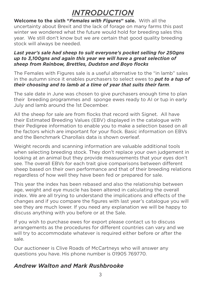# *INTRODUCTION*

**Welcome to the sixth "***Females with Figures***" sale.** With all the uncertainty about Brexit and the lack of forage on many farms this past winter we wondered what the future would hold for breeding sales this year. We still don't know but we are certain that good quality breeding stock will always be needed.

### *Last year's sale had sheep to suit everyone's pocket selling for 250gns up to 3,100gns and again this year we will have a great selection of sheep from Rainbow, Brettles, Dudston and Boyo flocks*

The Females with Figures sale is a useful alternative to the "in lamb" sales in the autumn since it enables purchasers to select ewes to *put to a tup of their choosing and to lamb at a time of year that suits their farm*.

The sale date in June was chosen to give purchasers enough time to plan their breeding programmes and sponge ewes ready to AI or tup in early July and lamb around the 1st December.

All the sheep for sale are from flocks that record with Signet. All have their Estimated Breeding Values (EBV) displayed in the catalogue with their Pedigree information to enable you to make a selection based on all the factors which are important for your flock. Basic information on EBVs and the Benchmark Charollais data is shown overleaf.

Weight records and scanning information are valuable additional tools when selecting breeding stock. They don't replace your own judgement in looking at an animal but they provide measurements that your eyes don't see. The overall EBVs for each trait give comparisons between different sheep based on their own performance and that of their breeding relations regardless of how well they have been fed or prepared for sale.

This year the index has been rebased and also the relationship between age, weight and eye muscle has been altered in calculating the overall index. We are all trying to understand the implications and effects of the changes and if you compare the figures with last year's catalogue you will see they are much lower. If you need any explanation we will be happy to discuss anything with you before or at the Sale.

If you wish to purchase ewes for export please contact us to discuss arrangements as the procedures for different countries can vary and we will try to accommodate whatever is required either before or after the sale.

Our auctioneer is Clive Roads of McCartneys who will answer any questions you have. His phone number is 01905 769770.

# *Andrew Walton and Mark Rushbrooke*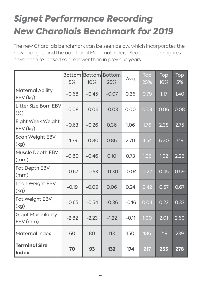# *Signet Performance Recording New Charollais Benchmark for 2019*

The new Charollais benchmark can be seen below, which incorporates the new changes and the additional Maternal Index. Please note the figures have been re-based so are lower than in previous years.

|                                       | Bottom<br>5% | 10%     | <b>Bottom</b> Bottom<br>25% | Avg     | Top<br>25% | Top<br>10% | Top<br>5% |
|---------------------------------------|--------------|---------|-----------------------------|---------|------------|------------|-----------|
| <b>Maternal Ability</b><br>EBV (kg)   | $-0.68$      | $-0.45$ | $-0.07$                     | 0.36    | 0.79       | 1.17       | 1.40      |
| <b>Litter Size Born EBV</b><br>$(\%)$ | $-0.08$      | $-0.06$ | $-0.03$                     | 0.00    | 0.03       | 0.06       | 0.08      |
| <b>Eight Week Weight</b><br>EBV (kg)  | $-0.63$      | $-0.26$ | 0.36                        | 1.06    | 1.76       | 2.38       | 2.75      |
| Scan Weight EBV<br>(kg)               | $-1.79$      | $-0.80$ | 0.86                        | 2.70    | 4.54       | 6.20       | 7.19      |
| <b>Muscle Depth EBV</b><br>(mm)       | $-0.80$      | $-0.46$ | 0.10                        | 0.73    | 1.36       | 1.92       | 2.26      |
| <b>Fat Depth EBV</b><br>(mm)          | $-0.67$      | $-0.53$ | $-0.30$                     | $-0.04$ | 0.22       | 0.45       | 0.59      |
| Lean Weight EBV<br>(kg)               | $-0.19$      | $-0.09$ | 0.06                        | 0.24    | 0.42       | 0.57       | 0.67      |
| <b>Fat Weight EBV</b><br>(kg)         | $-0.65$      | $-0.54$ | $-0.36$                     | $-0.16$ | 0.04       | 0.22       | 0.33      |
| <b>Gigot Muscularity</b><br>EBV (mm)  | $-2.82$      | $-2.23$ | $-1.22$                     | $-0.11$ | 1.00       | 2.01       | 2.60      |
| <b>Maternal Index</b>                 | 60           | 80      | 113                         | 150     | 186        | 219        | 239       |
| <b>Terminal Sire</b><br><b>Index</b>  | 70           | 93      | 132                         | 174     | 217        | 255        | 278       |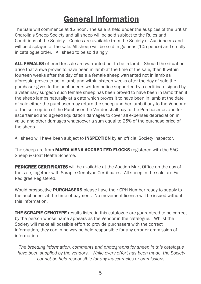# General Information

The Sale will commence at 12 noon. The sale is held under the auspices of the British Charollais Sheep Society and all sheep will be sold subject to the Rules and Conditions of the Society. Copies are available from the Society or Auctioneers and will be displayed at the sale. All sheep will be sold in guineas (105 pence) and strictly in catalogue order. All sheep to be sold singly.

ALL FEMALES offered for sale are warranted not to be in lamb. Should the situation arise that a ewe proves to have been in-lamb at the time of the sale, then If within fourteen weeks after the day of sale a female sheep warranted not in lamb as aforesaid proves to be in lamb and within sixteen weeks after the day of sale the purchaser gives to the auctioneers written notice supported by a certificate signed by a veterinary surgeon such female sheep has been proved to have been in lamb then if the sheep lambs naturally at a date which proves it to have been in lamb at the date of sale either the purchaser may return the sheep and her lamb if any to the Vendor or at the sole option of the Purchaser the Vendor shall pay to the Purchaser as and for ascertained and agreed liquidation damages to cover all expenses depreciation in value and other damages whatsoever a sum equal to 25% of the purchase price of the sheep.

All sheep will have been subject to **INSPECTION** by an official Society Inspector.

The sheep are from **MAEDI VISNA ACCREDITED FLOCKS** registered with the SAC Sheep & Goat Health Scheme.

PEDIGREE CERTIFICATES will be available at the Auction Mart Office on the day of the sale, together with Scrapie Genotype Certificates. All sheep in the sale are Full Pedigree Registered.

Would prospective **PURCHASERS** please have their CPH Number ready to supply to the auctioneer at the time of payment. No movement license will be issued without this information.

**THE SCRAPIE GENOTYPE** results listed in this catalogue are guaranteed to be correct by the person whose name appears as the Vendor in the catalogue. Whilst the Society will make all possible effort to provide purchasers with the correct information, they can in no way be held responsible for any error or ommission of information.

*The breeding information, comments and photographs for sheep in this catalogue have been supplied by the vendors. While every effort has been made, the Society cannot be held responsible for any inaccuracies or ommissions.*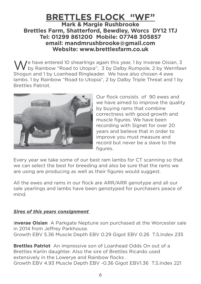### **BRETTLES FLOCK "WF" Mark & Margie Rushbrooke Brettles Farm, Shatterford, Bewdley, Worcs DY12 1TJ Tel: 01299 861200 Mobile: 07748 305857 email: mandmrushbrooke@gmail.com Website: www.brettlesfarm.co.uk**

 $\mathcal{M}$  e have entered 10 shearlings again this year, 1 by Inverae Oisian, 3 by Rainbow "Road to Utopia", 3 by Dalby Rumpole, 2 by Wernfawr Shogun and 1 by Loanhead Ringleader. We have also chosen 4 ewe lambs. 1 by Rainbow "Road to Utopia", 2 by Dalby Triple Threat and 1 by Brettles Patriot.



Our flock consists of 90 ewes and we have aimed to improve the quality by buying rams that combine correctness with good growth and muscle figures. We have been recording with Signet for over 20 years and believe that in order to improve you must measure and record but never be a slave to the figures.

Every year we take some of our best ram lambs for CT scanning so that we can select the best for breeding and also be sure that the rams we are using are producing as well as their figures would suggest.

All the ewes and rams in our flock are ARR/ARR genotype and all our sale yearlings and lambs have been genotyped for purchasers peace of mind.

### *Sires of this years consignment*

I**nverae Oisian** A Parkgate Neptune son purchased at the Worcester sale in 2014 from Jeffrey Parkhouse. Growth EBV 5.36 Muscle Depth EBV 0.29 Gigot EBV 0.26 T.S.Index 235

**Brettles Patriot** An impressive son of Loanhead Odds On out of a Brettles Karlin daughter. Also the sire of Brettles Ricardo used extensively in the Lowerye and Rainbow flocks . Growth EBV 4.93 Muscle Depth EBV -0.36 Gigot EBV1.36 T.S.Index 221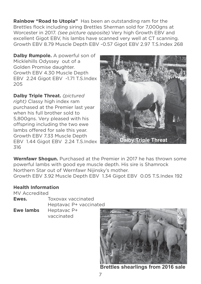**Rainbow "Road to Utopia"** Has been an outstanding ram for the Brettles flock including siring Brettles Sherman sold for 7,000gns at Worcester in 2017. *(see picture opposite)* Very high Growth EBV and excellent Gigot EBV, his lambs have scanned very well at CT scanning. Growth EBV 8.79 Muscle Depth EBV -0.57 Gigot EBV 2.97 T.S.Index 268

**Dalby Rumpole.** A powerful son of Micklehills Odyssey out of a Golden Promise daughter. Growth EBV 4.30 Muscle Depth EBV 2.24 Gigot EBV -1.71 T.S.Index 205

**Dalby Triple Threat.** *(pictured right)* Classy high index ram purchased at the Premier last year when his full brother sold to 5,800gns. Very pleased with his offspring including the two ewe lambs offered for sale this year. Growth EBV 7.33 Muscle Depth EBV 1.44 Gigot EBV 2.24 T.S.Index 316



**Wernfawr Shogun.** Purchased at the Premier in 2017 he has thrown some powerful lambs with good eye muscle depth. His sire is Shamrock Northern Star out of Wernfawr Nijinsky's mother. Growth EBV 3.92 Muscle Depth EBV 1.34 Gigot EBV 0.05 T.S.Index 192

### **Health Information**

| <b>MV Accredited</b> |                        |  |
|----------------------|------------------------|--|
| Ewes.                | Toxovax vaccinated     |  |
|                      | Heptavac P+ vaccinated |  |
| <b>Ewe lambs</b>     | Heptavac P+            |  |
|                      | vaccinated             |  |

**Brettles shearlings from 2016 sale**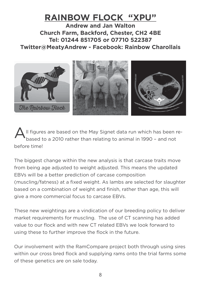# **RAINBOW FLOCK "XPU"**

**Andrew and Jan Walton Church Farm, Backford, Chester, CH2 4BE Tel: 01244 851705 or 07710 522387 Twitter@MeatyAndrew - Facebook: Rainbow Charollais**



All figures are based on the May Signet data run which has been re-<br>based to a 2010 rather than relating to animal in 1990 - and not before time!

The biggest change within the new analysis is that carcase traits move from being age adjusted to weight adjusted. This means the updated EBVs will be a better prediction of carcase composition (muscling/fatness) at a fixed weight. As lambs are selected for slaughter based on a combination of weight and finish, rather than age, this will give a more commercial focus to carcase EBVs.

These new weightings are a vindication of our breeding policy to deliver market requirements for muscling. The use of CT scanning has added value to our flock and with new CT related EBVs we look forward to using these to further improve the flock in the future.

Our involvement with the RamCompare project both through using sires within our cross bred flock and supplying rams onto the trial farms some of these genetics are on sale today.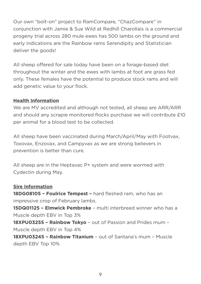Our own "bolt-on" project to RamCompare, "ChazCompare" in conjunction with Jamie & Sue Wild at Redhill Charollais is a commercial progeny trial across 280 mule ewes has 500 lambs on the ground and early indications are the Rainbow rams Serendipity and Statistician deliver the goods!

All sheep offered for sale today have been on a forage-based diet throughout the winter and the ewes with lambs at foot are grass fed only. These females have the potential to produce stock rams and will add genetic value to your flock.

### **Health Information**

We are MV accredited and although not tested, all sheep are ARR/ARR and should any scrapie monitored flocks purchase we will contribute £10 per animal for a blood test to be collected.

All sheep have been vaccinated during March/April/May with Footvax, Toxovax, Enzovax, and Campyvax as we are strong believers in prevention is better than cure.

All sheep are in the Heptavac P+ system and were wormed with Cydectin during May.

### **Sire Information**

**18DG08105 – Foulrice Tempest –** hard fleshed ram, who has an impressive crop of February lambs.

**15DQ01125 – Elmwick Pembroke** – multi interbreed winner who has a Muscle depth EBV in Top 3%

**18XPU03255 – Rainbow Tokyo** – out of Passion and Prides mum – Muscle depth EBV in Top 4%

**18XPU03245 – Rainbow Titanium** – out of Santana's mum – Muscle depth EBV Top 10%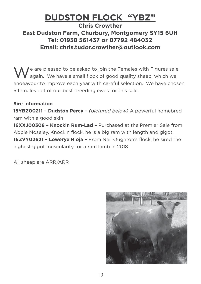# **DUDSTON FLOCK "YBZ"**

### **Chris Crowther East Dudston Farm, Churbury, Montgomery SY15 6UH Tel: 01938 561437 or 07792 484032 Email: chris.tudor.crowther@outlook.com**

I e are pleased to be asked to join the Females with Figures sale again. We have a small flock of good quality sheep, which we endeavour to improve each year with careful selection. We have chosen 5 females out of our best breeding ewes for this sale.

### **Sire Information**

**15YBZ00211 – Dudston Percy –** *(pictured below)* A powerful homebred ram with a good skin

**16XXJ00308 – Knockin Rum-Lad –** Purchased at the Premier Sale from Abbie Moseley, Knockin flock, he is a big ram with length and gigot.

**16ZVY02621 – Lowerye Rioja –** From Neil Oughton's flock, he sired the highest gigot muscularity for a ram lamb in 2018

All sheep are ARR/ARR

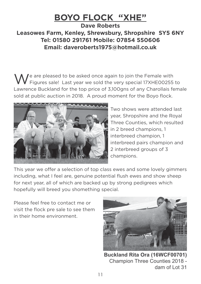# **BOYO FLOCK "XHE" Dave Roberts Leasowes Farm, Kenley, Shrewsbury, Shropshire SY5 6NY**

## **Tel: 01580 291761 Mobile: 07854 550606 Email: daveroberts1975@hotmail.co.uk**

We are pleased to be asked once again to join the Female with<br>Weigures sale! Last year we sold the very special 17XHE00255 to Lawrence Buckland for the top price of 3,100gns of any Charollais female sold at public auction in 2018. A proud moment for the Boyo flock.



Two shows were attended last year, Shropshire and the Royal Three Counties, which resulted in 2 breed champions, 1 interbreed champion, 1 interbreed pairs champion and 2 interbreed groups of 3 champions.

This year we offer a selection of top class ewes and some lovely gimmers including, what I feel are, genuine potential flush ewes and show sheep for next year, all of which are backed up by strong pedigrees which hopefully will breed you shomething special.

Please feel free to contact me or visit the flock pre sale to see them in their home environment.



**Buckland Rita Ora (16WCF00701)** Champion Three Counties 2018 dam of Lot 31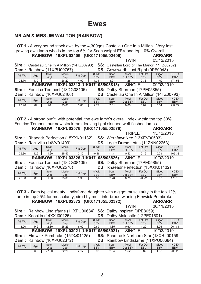## **Ewes**

### **MR AM & MRS JM WALTON (RAINBOW)**

| <b>LOT 1 - A very sound stock ewe by the 4,300gns Castellau One in a Million. Very fast</b><br>growing ewe lamb who is in the top 5% for Scan weight EBV and top 10% Overall |                    |             |                     |                |                                      |                    |                                                   |                       |                     |                            |  |
|------------------------------------------------------------------------------------------------------------------------------------------------------------------------------|--------------------|-------------|---------------------|----------------|--------------------------------------|--------------------|---------------------------------------------------|-----------------------|---------------------|----------------------------|--|
|                                                                                                                                                                              |                    |             |                     |                | RAINBOW 16XPU02406 (UK0171055/02406) |                    |                                                   |                       | <b>ARR/ARR</b>      |                            |  |
|                                                                                                                                                                              | 03/12/2015<br>TWIN |             |                     |                |                                      |                    |                                                   |                       |                     |                            |  |
| Sire: Castellau One In A Million (14TZ00793)<br>SS: Castellau Lord of The Manor (11TZ00252)                                                                                  |                    |             |                     |                |                                      |                    |                                                   |                       |                     |                            |  |
| Dam: Rainbow (11XPU00767)<br><b>DS:</b> Gawsworth Just Right (0PF9048)                                                                                                       |                    |             |                     |                |                                      |                    |                                                   |                       |                     |                            |  |
| Adj Wgt                                                                                                                                                                      | Age                | Scan<br>Wgt | Mscle<br>Dep        | <b>Fat Dep</b> | 8 Wk<br><b>EBV</b>                   | Scan<br><b>EBV</b> | <b>Mscl</b><br>Dpt EBV                            | Fat Dpt<br><b>EBV</b> | Gigot<br><b>EBV</b> | <b>INDEX</b><br><b>EBV</b> |  |
| 24.70                                                                                                                                                                        | 139                | 47          | 28.22               | 4.90           | 1.34                                 | 3.21               | 1.28                                              | 0.33                  | $-1.07$             | 171.58                     |  |
|                                                                                                                                                                              |                    |             |                     |                | RAINBOW 19XPU03813 (UK0171055/03813) |                    | <b>SINGLE</b>                                     |                       | 09/02/2019          |                            |  |
| Sire: Foulrice Tempest (18DG08105)                                                                                                                                           |                    |             |                     |                |                                      |                    | SS: Dalby Sherman (17PE05855)                     |                       |                     |                            |  |
| Dam: Rainbow (16XPU02406)                                                                                                                                                    |                    |             |                     |                |                                      |                    | <b>DS:</b> Castellau One In A Million (14TZ00793) |                       |                     |                            |  |
| Adj Wgt                                                                                                                                                                      | Age                | Scan<br>Wgt | <b>Mscle</b><br>Dep | Fat Dep        | 8 Wk<br><b>EBV</b>                   | Scan<br><b>EBV</b> | <b>Mscl</b><br>Dpt EBV                            | Fat Dpt<br><b>EBV</b> | Gigot<br><b>EBV</b> | <b>INDEX</b><br><b>EBV</b> |  |
| 27 40                                                                                                                                                                        | <b>RQ</b>          | 40          | 25.60               | 3.83           | 279                                  | 7.31               | 0.86                                              | 0.07                  | 0.04                | 257 72                     |  |

LOT 2 - A strong outfit, with potential, the ewe lamb's overall index within the top 30%. Foulrice Tempest our new stock ram, leaving tight skinned well-fleshed lambs. **PAINROW 16YDII02576 (IIK0171055/02576) ADD/ADD** 

| <b>NAINDOW TUAFUUZJIU (UNUTITUJJIUZJIU)</b>                             |     |             |              |         |                    |                    |                                            |                       | ANNANN              |                            |  |  |
|-------------------------------------------------------------------------|-----|-------------|--------------|---------|--------------------|--------------------|--------------------------------------------|-----------------------|---------------------|----------------------------|--|--|
|                                                                         |     |             |              |         |                    |                    | <b>TRIPLET</b>                             |                       | 13/12/2015          |                            |  |  |
| Sire: Rhaeadr Perfection (15XXK01132)                                   |     |             |              |         |                    |                    | SS: Wernfawr Neo (13XEV00503)              |                       |                     |                            |  |  |
| <b>DS:</b> Logie Durno Lotus (11ZNN02253)<br>Dam: Rockvilla (14VV01499) |     |             |              |         |                    |                    |                                            |                       |                     |                            |  |  |
| Adj Wgt                                                                 | Age | Scan<br>Wgt | Mscle<br>Dep | Fat Dep | 8 Wk<br><b>EBV</b> | Scan<br><b>EBV</b> | <b>Mscl</b><br>Dpt EBV                     | Fat Dpt<br><b>EBV</b> | Gigot<br><b>EBV</b> | <b>INDEX</b><br><b>EBV</b> |  |  |
| 25.30                                                                   | 129 | 41.60       | 25.47        | 3.10    | $-0.48$            | $-1.34$            | 0.43                                       | 0.12                  | 0.09                | 105.33                     |  |  |
| RAINBOW 19XPU03826 (UK0171055/03826)<br><b>SINGLE</b><br>10/02/2019     |     |             |              |         |                    |                    |                                            |                       |                     |                            |  |  |
| Sire: Foulrice Tempest (18DG08105)                                      |     |             |              |         |                    |                    | SS: Dalby Sherman (17PE05855)              |                       |                     |                            |  |  |
| <b>Dam: Rainbow (16XPU02576)</b>                                        |     |             |              |         |                    |                    | <b>DS: Rhaeadr Perfection (15XXK01132)</b> |                       |                     |                            |  |  |
|                                                                         |     | Scan        | <b>Mscle</b> | Fat Dep | 8 Wk               | Scan               | Mscl                                       | Fat Dpt               | Gigot               | <b>INDEX</b>               |  |  |
| Adj Wgt                                                                 | Age | Wgt         | Dep          |         | <b>EBV</b>         | <b>EBV</b>         | Dpt EBV                                    | <b>EBV</b>            | <b>EBV</b>          | <b>EBV</b>                 |  |  |
| 22.30                                                                   | 88  | 31.60       | 23.83        | 1.30    | 0.83               | 2.20               | 0.70                                       | $-0.22$               | 0.62                | 178.18                     |  |  |

LOT 3 - Dam typical meaty Lindisfarne daughter with a gigot muscularity in the top 12%. Lamb in top 25% for muscularity, sired by multi-interbreed winning Elmwick Pembroke. RAINBOW 16XPU02372 (UK0171055/02372)

| <b>ARR/ARR</b> |
|----------------|
| 30/11/2015     |

**TWIN** 

| <b>Sire:</b> Rainbow Lindisfarne (11XPU00684) <b>SS:</b> Dalby Inspired (0PE8059) |                                        |
|-----------------------------------------------------------------------------------|----------------------------------------|
| <b>Dam:</b> Knockin $(14XXJ00125)$                                                | <b>DS: Dalby Malachite (12PE01501)</b> |

|                                                                               | Adj Wgt                                                             | Age | Scan  | <b>Mscle</b>              | Fat Dep | 8 Wk       | Scan       | <b>Mscl</b>                                 | Fat Dpt    | Gigot      | <b>INDEX</b> |
|-------------------------------------------------------------------------------|---------------------------------------------------------------------|-----|-------|---------------------------|---------|------------|------------|---------------------------------------------|------------|------------|--------------|
|                                                                               |                                                                     |     | Wat   | Dep                       |         | <b>EBV</b> | <b>EBV</b> | Dpt EBV                                     | <b>EBV</b> | <b>EBV</b> | <b>EBV</b>   |
|                                                                               | 18.90                                                               | 142 | 42.80 | 25.23                     | 6.60    | 0.69       | 1.85       | 0.60                                        | 1.20       | 1.96       | 201.81       |
|                                                                               | RAINBOW 19XPU03921 (UK0171055/03921)<br><b>SINGLE</b><br>10/03/2019 |     |       |                           |         |            |            |                                             |            |            |              |
| Sire: Elmwick Pembroke (15DQ01125)<br>SS: Shamrock Northern Star (13XRL00159) |                                                                     |     |       |                           |         |            |            |                                             |            |            |              |
|                                                                               |                                                                     |     |       | Dam: Rainbow (16XPU02372) |         |            |            | <b>DS:</b> Rainbow Lindisfarne (11XPU00684) |            |            |              |
|                                                                               |                                                                     | Age | Scan  | <b>Mscle</b>              | Fat Dep | 8 Wk       | Scan       | Mscl                                        | Fat Dpt    | Gigot      | <b>INDEX</b> |
|                                                                               | Adj Wgt                                                             |     | Wat   | Dep                       |         | <b>EBV</b> | <b>EBV</b> | Dpt EBV                                     | <b>EBV</b> | <b>EBV</b> | <b>EBV</b>   |
|                                                                               |                                                                     | 60  | 27.80 | 22.26                     | 2.17    | 0.98       | 2.64       | 1.52                                        | 0.82       | 1.66       | 208.20       |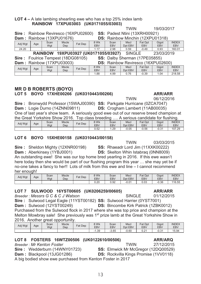### **LOT 4 –** A late lambing shearling ewe who has a top 25% index lamb RAINBOW 17XPU03003 (UK0171055/03003)

|                                                                     | SS: Padest Ntini (13XRH00921)<br>Sire: Rainbow Reviresco (16XPU02600) |             |                            |         |                    |                                    |                        |                       |                     |                            |  |  |
|---------------------------------------------------------------------|-----------------------------------------------------------------------|-------------|----------------------------|---------|--------------------|------------------------------------|------------------------|-----------------------|---------------------|----------------------------|--|--|
|                                                                     | DS: Rainbow Minchin (12XPU01318)<br>Dam: Rainbow (13XPU01676)         |             |                            |         |                    |                                    |                        |                       |                     |                            |  |  |
| Adj Wgt                                                             | Age                                                                   | Scan<br>Wgt | <b>Mscle</b><br><b>Dep</b> | Fat Dep | 8 Wk<br><b>EBV</b> | Scan<br><b>EBV</b>                 | <b>Mscl</b><br>Dpt EBV | Fat Dpt<br><b>EBV</b> | Gigot<br><b>EBV</b> | <b>INDEX</b><br><b>EBV</b> |  |  |
| 24.20                                                               |                                                                       |             |                            |         | 1.17               | 2.98                               | 0.59                   | $-0.49$               | 0.93                | 160.01                     |  |  |
| RAINBOW 19XPU03927 (UK0171055/03927)<br>23/03/2019<br><b>SINGLE</b> |                                                                       |             |                            |         |                    |                                    |                        |                       |                     |                            |  |  |
| Sire: Foulrice Tempest (18DG08105)                                  |                                                                       |             |                            |         |                    | SS: Dalby Sherman (17PE05855)      |                        |                       |                     |                            |  |  |
| <b>Dam: Rainbow (17XPU03003)</b>                                    |                                                                       |             |                            |         |                    | DS: Rainbow Reviresco (16XPU02600) |                        |                       |                     |                            |  |  |
| Adj Wgt                                                             | Age                                                                   | Scan<br>Wgt | <b>Mscle</b><br><b>Dep</b> | Fat Dep | 8 Wk<br><b>EBV</b> | Scan<br><b>EBV</b>                 | <b>Mscl</b><br>Dpt EBV | Fat Dpt<br><b>EBV</b> | Gigot<br><b>EBV</b> | <b>INDEX</b><br><b>EBV</b> |  |  |
|                                                                     |                                                                       |             |                            |         | 1.88               | 4.99                               | 0.76                   | $-0.39$               | 1.04                | 218.58                     |  |  |

### **MR D B ROBERTS (BOYO)** LOT 5 BOYO 17XHE00266 (UK0310443/00266)

**TWIN** 06/12/2016 Sire: Bronwydd Professor (15WAJ00390) SS: Parkgate Hurricane (0ZCA7047) Dam: Logie Durno (14ZNN09811) DS: Crogham Lambert (11AB00035) One of last year's show team. A seriously good ewe out of our reserve breed champion at the Great Yorkshire Show 2016. Top class breeding ..., A serious candidate for flushing.

| Adj Wgt | Age | Scan<br>Wat | <b>Mscle</b><br>Dep | Fat<br>Dep | 8 Wk<br>EB\ | Scan<br><b>EBV</b> | <b>Mscl</b><br>Dpt EBV | Fat<br>Dpt<br><b>EBV</b> | Gigot<br>EB\  | <b>INDEX</b><br><b>EBV</b> |
|---------|-----|-------------|---------------------|------------|-------------|--------------------|------------------------|--------------------------|---------------|----------------------------|
|         |     |             |                     |            | 50<br>U.JZ  | .29                | $-0.05$                | $-0.56$                  | ∩ ว4<br>-U.Ə. | 107.29                     |

### LOT 6 BOYO 15XHE00158 (UK0310443/00158)

Sire: Sheldon Mighty (12XNR00198) SS: Rhaeadr Lord Jim (11XXK00222) Dam: Aberkinsey (1YBJ0001) **DS:** Skelton Whin Istabrag (0NN8009) An outstanding ewe! She was our top home bred vearling in 2016. If this ewe wasn't here today then she would be part of our flushing program this year ... she may yet be if no-one takes a fancy to her!! Lots of milk from this ewe and line – I cannot recommend

her enough!

| Adj Wgt | Age | Scan<br>Wat | <b>Mscle</b><br>Dep | <b>Fat Dep</b> | ९ Wk<br><b>EBV</b> | Scan<br><b>EBV</b> | <b>Mscl</b><br>: EBV<br><b>Dpt</b> | Fat Dpt<br>EBV | Gigot<br>EBV | <b>INDEX</b><br><b>EBV</b> |
|---------|-----|-------------|---------------------|----------------|--------------------|--------------------|------------------------------------|----------------|--------------|----------------------------|
|         |     |             |                     |                | 0.20               | $\cap$<br>U.YZ     | $-0.04$                            | 0.03           | $-0.36$      | 116.55                     |

### LOT 7 SULWOOD 16YST00605 (UK0206259/00605)

Breeder: Messrs G C & C J Watson

Sire: Sulwood Legal Eagle (11YST00182) SS: Sulwood Harrier (0YST7001) **Dam:** Sulwood (12YST00249) **DS:** Bincombe Kirk Patrick (1ZBK0012) Purchased from the Sulwood flock in 2017 where she was top price and champion at the Melton Mowbray sale! She previously was 1<sup>st</sup> prize lamb at the Great Yorksh 2016 Another great opportunity

| Adj Wgt | Age | Scan<br>Wat | <b>Mscle</b><br>Dep | Dep<br>Fat | 8 Wk<br>EBV | Scan<br>EBV | <b>Mscl</b><br>Dpt EBV | Fat<br>Dpt<br><b>EBV</b> | Gigot<br><b>EBV</b> | <b>INDEX</b><br><b>EBV</b> |
|---------|-----|-------------|---------------------|------------|-------------|-------------|------------------------|--------------------------|---------------------|----------------------------|
|         |     |             |                     |            | .39         | 3.65        | $-0.60$                | 0.04<br>U.Z              | ດ ລ 4<br>-v.ə.      | 15.94                      |

 $13$ 

### LOT 8 FOSTERS 16WTZ00506 (UK0122610/00506)

**Breeder: Mr Kenton Foster** 

Sire: Wedderburn (14WNY01723)

Dam: Blackpool (13JG01286)

A big bodied show ewe purchased from Kenton Foster in 2017

|                 | t Yorkshire Show in |              |
|-----------------|---------------------|--------------|
| at Dpt          | Gigot               | <b>INDEX</b> |
| FR <sub>V</sub> | FR <sub>V</sub>     | FRV          |

### **ARR/ARQ**

27/12/2015

SS: Elmwick Mr McGregor (12DQ00529) **DS:** Rockvilla Kings Promise (1VV0118)

**TWIN** 

**TWIN** 

03/03/2015

19/03/2017

**ARR/ARR** 

**ARR/ARR** 

**SINGLE** 

01/12/2015

**TWIN**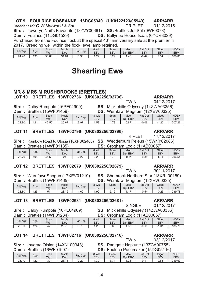#### LOT 9 FOULRICE ROSEANNE 16DG05949 (UK0122123/05949) **ARR/ARR** Breeder: Mr C W Marwood & Son **TRIPLET** 01/12/2015 Sire: Lowerye Neil's Favourite (13ZVY00661) **SS: Brettles Jet Set (0WF9078)** Dam: Foulrice (11DG01529) **DS: Ballynoe House Isaac (0YCR8029)** Purchased from the Foulrice flock at the special 40<sup>th</sup> anniversary sale at the premier in 2017 Rreading well within the flock ewe lamb retained

| 20 I L  |     |             |              | <b>DIGGUING WON WILLING NOON, GWG RIND IGRAHIGU.</b> |                    |                    |                        |                       |                     |                            |
|---------|-----|-------------|--------------|------------------------------------------------------|--------------------|--------------------|------------------------|-----------------------|---------------------|----------------------------|
| Adj Wgt | Age | Scan<br>Wgt | Mscle<br>Dep | Fat Dep                                              | 8 Wk<br><b>EBV</b> | Scan<br><b>EBV</b> | <b>Mscl</b><br>Dpt EBV | Fat Dpt<br><b>EBV</b> | Gigot<br><b>EBV</b> | <b>INDEX</b><br><b>EBV</b> |
| 24.40   | 136 | 56.60       | 31.04        | 5.93                                                 | 1.27               | 2 27<br>، ے. ت     | .45                    | -0.42                 | $\Omega$ 14         | 189.01                     |

# **Shearling Ewe**

### **MR & MRS M RUSHBROOKE (BRETTLES)** LOT 10 BRETTLES 18WF02736 (UK0302256/02736)

#### **Sire:** Dalby Rumpole (16PE04909)  $\lambda$  and  $\lambda$  and  $\lambda$  and  $\lambda$  and  $\lambda$  $\sim$

| Dam              |     | Brettles (1500F01459) |       |         | DS:    |            |             |            | Wernfawr Maghum (12XEV00325) |              |
|------------------|-----|-----------------------|-------|---------|--------|------------|-------------|------------|------------------------------|--------------|
| Adi Wat          |     | Scan                  | Mscle | Fat Dep | $3$ Wk | Scan       | <b>Mscl</b> | Fat Dpt    | Gigot                        | <b>INDEX</b> |
|                  | Age | Wgt                   | Dep   |         | EBV    | <b>EBV</b> | Dpt EBV     | <b>EBV</b> | EBV                          | <b>EBV</b>   |
| -90<br>$\bigcap$ | 191 | 42.50                 | 25.67 | 3.97    | 59     | . 79       | n 87        | በ በ6       | 1. 22.<br>- 1                | 207 26       |

 $\sim$   $\sim$ 

 $\overline{M}$ 

 $\epsilon$ 

#### **LOT 11** BRETTLES 18WF02796 (UK0302256/02796)

### **TRIPI FT**

|                                  | Sire: Rainbow Road to Utopia (16XPU02468) SS: Wedderburn Peleus (15WNY02086) |  |
|----------------------------------|------------------------------------------------------------------------------|--|
| <b>Dam:</b> Brettles (14WF01185) | <b>DS:</b> Crogham Logic (11AB00057)                                         |  |

|         |     |                                  |                     |                           |                    |                                    | . .                              |                |                 |                     |
|---------|-----|----------------------------------|---------------------|---------------------------|--------------------|------------------------------------|----------------------------------|----------------|-----------------|---------------------|
| Adj Wgt | Age | Scan<br>Wgt                      | <b>Mscle</b><br>Dep | <b>Fat Dep</b>            | 3 Wk<br><b>EBV</b> | Scan<br><b>EBV</b>                 | <b>Mscl</b><br><b>EBV</b><br>Dpt | Fat Dpt<br>EBV | Gigot<br>EBV    | <b>INDEX</b><br>EBV |
| 28.70   | 108 | .50<br>$\mathbf{A}^{\mathbf{A}}$ | ገለ<br>$\sim$        | $\sim$<br>$\sim$ . $\sim$ | 2.28               | $\overline{\phantom{a}}$<br>ບ. / ບ | $-0.31$                          | $-0.35$        | .9 <sup>4</sup> | 206.54              |

### LOT 12 BRETTLES 18WF02679 (UK0302256/02679)

Sire: Wernfawr Shogun (17XEV01219)  $Dom: Druthos (1EN/EC0110E)$ 

| Dam     |     | Brettles (15WF01465) |       |                |                    |                    |                 |                | Wernfawr Magnum (12XEV00325) |              |
|---------|-----|----------------------|-------|----------------|--------------------|--------------------|-----------------|----------------|------------------------------|--------------|
| Adj Wgt | Age | Scan<br>Wat          | Mscle | <b>Fat Dep</b> | 8 Wk<br><b>EBV</b> | Scan<br><b>EBV</b> | Mscl<br>Dot EBV | Fat Dpt<br>EBV | Gigot<br>EBV                 | <b>INDEX</b> |
|         |     |                      | Dep   |                |                    |                    |                 |                |                              | EBV          |
| 28.80   | 125 | г,                   | 28.12 | .60            | 1.99               | 5.12               | 1 17            | $-0.54$        | $-0.25$                      | 239.78       |

### LOT 13 BRETTLES 18WF02681 (UK0302256/02681)

**Sire:** Dalby Rumpole (16PE04909)

| Dam     | <b>Brettles</b> |      | 14VVFU1Z341  | :כט<br>⊜rodnam I<br>LOGIC (TTABUUU57 |      |            |             |                |       |              |  |
|---------|-----------------|------|--------------|--------------------------------------|------|------------|-------------|----------------|-------|--------------|--|
| Adj Wgt | Age             | Scan | <b>Mscle</b> | Fat Dep                              | 9 Wk | Scan       | <b>Mscl</b> | <b>Fat Dpt</b> | Gigot | <b>INDEX</b> |  |
|         |                 | Wat  | Dep          |                                      | EBV  | <b>EBV</b> | Dpt EBV     | EBV            | EBV   | <b>EBV</b>   |  |
| 22.90   | 124             | 47   | 75<br>26.75  | 3.70                                 | 1.23 | 3.63       | 1.38        | $-0.18$        | 1.01  | 183.75       |  |

#### **LOT 14** BRETTLES 18WF02716 (UK0302256/02716)

### Sire: Inverae Oisian (14XNL00343)

 $\mathsf{D}$ 

| Jam     |     | Brettles (16WF01907) |              |                | DS:                |             |                        | Foulrice Pacemaker (15DG05116) |                     |                     |
|---------|-----|----------------------|--------------|----------------|--------------------|-------------|------------------------|--------------------------------|---------------------|---------------------|
| Adj Wgt | Age | Scan<br>Wgt          | Mscle<br>Dep | <b>Fat Dep</b> | 8 Wk<br><b>EBV</b> | Scan<br>EBV | <b>Mscl</b><br>Dpt EBV | <b>Fat Dpt</b><br><b>EBV</b>   | Gigot<br><b>EBV</b> | <b>INDEX</b><br>EB۱ |
| 23.10   | 122 | 39                   | 26.15        | 2.20           | .39                | 3.74        | .28                    | $-0.11$                        | 0.53                | 219.63              |

### **ARR/ARR**

**ARR/ARR** 04/12/2017

17/12/2017

**TWIN** 

**TWIN** 

**SINGLE** 

**TWIN** 

SS: Parkgate Neptune (13ZCA00755)

SS: Shamrock Northern Star (13XRL00159)

 $\sim$   $\sim$ 

**SS: Micklehills Odyssey (14ZWA03356)** 

**ARR/ARR** 

30/11/2017



**ARR/ARR** 01/12/2017

**SS: Micklehills Odyssey (14ZWA03356)**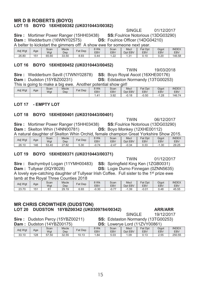### **MR D B ROBERTS (BOYO)** LOT 15 BOYO 18XHE00382 (UK0310443/00382)

### SINGLE 01/12/2017

**SS: Foulrice Notorious (13DG03290)** DS: Foulrice Officer (14DG04210)

**Sire: Mortimer Power Ranger (15HH03438)** Dam: Wedderburn (16WNY02575)

|         | A belter to kickstart the gimmers off! A show ewe for someone next year. |             |                     |                |                    |                    |                 |                              |              |                     |  |  |
|---------|--------------------------------------------------------------------------|-------------|---------------------|----------------|--------------------|--------------------|-----------------|------------------------------|--------------|---------------------|--|--|
| Adj Wgt | Age                                                                      | Scan<br>Wgt | <b>Mscle</b><br>Dep | <b>Fat Dep</b> | 8 Wk<br><b>EBV</b> | Scan<br><b>EBV</b> | Mscl<br>Dot EBV | <b>Fat Dpt</b><br><b>EBV</b> | Gigot<br>EBV | <b>INDEX</b><br>EBV |  |  |
| 26.80   | 151                                                                      | 65.60       | 33.50               | 8.93           | 0.44               | ററ                 | - 2             | .10                          | 0.20         | 146.58              |  |  |

### LOT 16 BOYO 18XHE00452 (UK0310443/00452)

**Sire: Wedderburn Savill (17WNY02878)** Dam: Dudston (15YBZ00231)

**TWIN** 19/03/2018 **SS: Bovo Roval Ascot (16XHE00176) DS: Edstaston Normandy (13TG00253)** 

This is going to make a big ewe. Another potential show girl!

| Adj Wgt | Age | Scan<br>Wat | <b>Mscle</b><br>Dep | Dep<br>$F$ at | 3 Wk<br>EBV | Scan<br>EBV  | <b>Mscl</b><br>Dpt EBV | Fat<br>Dpt<br><b>EBV</b> | Gigot<br><b>EBV</b> | <b>INDEX</b><br><b>EBV</b> |
|---------|-----|-------------|---------------------|---------------|-------------|--------------|------------------------|--------------------------|---------------------|----------------------------|
|         |     |             |                     |               | l .4        | רם ב<br>ບ.ບ∠ | $-0.18$                | $-0.50$                  | . .28<br>- 1        | 146.74                     |

### LOT 17 - EMPTY LOT

### LOT 18 BOYO 18XHE00401 (UK0310443/00401)

**TWIN** 06/12/2017 **Sire: Mortimer Power Ranger (15HH03438) SS: Foulrice Notorious (13DG03290)** Dam: Skelton Whin (14NN00781) DS: Boyo Monkey (12XHE00112) A natural daughter of Skelton Whin Orchid, female champion Great Yorkshire Show 2015.

| Adj Wgt | Age | Scan<br>Wgt | <b>Mscle</b><br>Dep  | Fat<br>Dep | 3 Wk<br><b>EBV</b> | Scan<br>EBV            | Mscl<br><b>EBV</b><br>Dpt | Fat<br>Dpt<br><b>EBV</b> | Gigot<br>EB\ | <b>INDEX</b><br><b>EBV</b> |
|---------|-----|-------------|----------------------|------------|--------------------|------------------------|---------------------------|--------------------------|--------------|----------------------------|
| 26.10   | 146 | 53.40       | '.82<br>$\sim$<br>21 | 5.30       | $-0.74$            | $\Delta$ 7<br><u>.</u> | $-0.34$                   | ົດ<br>∪.∪ປ               | . . 30       | 29.25                      |

### LOT 19 BOYO 18XHE00371 (UK0310443/00371)

**TWIN** 01/12/2017 **Sire:** Bachymbyd Logan (11YMH00483) **SS:** Springfield King Ken (1ZGB0031) Dam: Tullvear (0QY8028) **DS: Logie Durno Finnegan (0ZNN5635)** A lovely eye-catching daughter of Tullyear Irish Coffee. Full sister to the 1<sup>st</sup> prize ewe lamb at the Royal Three Counties 2018

| Adi Wat | Age | Scan<br>Wat | <b>Mscle</b><br>Dep | <b>Fat Dep</b> | ९ Wk<br><b>EBV</b> | Scan<br><b>EBV</b>      | <b>Mscl</b><br>Dpt EBV | Fat<br>Dpt<br><b>EBV</b> | Gigot<br><b>EBV</b> | <b>INDEX</b><br><b>EBV</b> |
|---------|-----|-------------|---------------------|----------------|--------------------|-------------------------|------------------------|--------------------------|---------------------|----------------------------|
| 23.70   | 151 | ρ.          | 29.19               | 6.93           | $-0.30$            | $\rightarrow$<br>. ז.ט- | 1.39                   | $-0.01$                  | 0.48                | 45.55                      |

### **MR CHRIS CROWTHER (DUDSTON)** LOT 20 DUDSTON 18YBZ00342 (UK0309784/00342)

**SS: Edstaston Normandy (13TG00253)** 

Sire: Dudston Percy (15YBZ00211) Dam :

Adi Wat  $33.10$ 

|     |             | Dudston (14YBZ00175) |         | DS:                |                    |                        | Lowerye Lord (11ZVY00861)    |                     |                     |
|-----|-------------|----------------------|---------|--------------------|--------------------|------------------------|------------------------------|---------------------|---------------------|
| Age | Scan<br>Wqt | <b>Mscle</b><br>Dep  | Fat Dep | 8 Wk<br><b>EBV</b> | Scan<br><b>EBV</b> | <b>Mscl</b><br>Dot EBV | <b>Fat Dpt</b><br><b>EBV</b> | Gigot<br><b>EBV</b> | <b>INDEX</b><br>EBV |
| 128 | 57.50       | 32.55                | 10.13   | . .84              | 5.03               | 09. ،                  | 0.13                         | 2.55                | 250.55              |

**ARR/ARR** 19/12/2017

**SINGLE**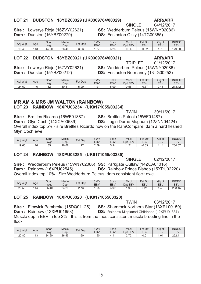### LOT 21 DUDSTON 18YBZ00329 (UK0309784/00329)

### Sire: Lowerve Rioja (16ZVY02621) Dam: Dudston (16YBZ00279)

**SINGLE** 04/12/2017 SS: Wedderburn Peleus (15WNY02086)

DS: Edstaston Ozzy (14TG00355)

| Adj Wgt | Age | Scan<br>Wat | <b>Mscle</b><br>Dep | $  -$<br>Dep<br>⊢at                        | 8 Wk<br><b>EBV</b> | Scan<br><b>EBV</b> | <b>Mscl</b><br>Dpt EBV | Fat<br>Dpt<br><b>EBV</b> | Gigot<br><b>EBV</b> | <b>INDEX</b><br>EBV |
|---------|-----|-------------|---------------------|--------------------------------------------|--------------------|--------------------|------------------------|--------------------------|---------------------|---------------------|
| 19.40   | 143 | .50<br>44   | 26.46               | $\cap$<br>$\overline{\phantom{a}}$<br>ບ.ບບ | $\sim$<br>ے .      | 3.26               | $^{\circ}$<br>∪. ı     | $E^{0}$<br>-∪.J∠         | 70<br>. <i>I</i> C  | 179.80              |

### LOT 22 DUDSTON 18YBZ00321 (UK0309784/00321)

### **ARR/ARR TRIPLET** 01/12/2017

**Sire:** Lowerye Rioja (16ZVY02621) Dam: Dudston (15YBZ00212)

**SS: Wedderburn Peleus (15WNY02086) DS:** Edstaston Normandy (13TG00253)

| Adj Wgt | Age | Scan<br>Wgt | <b>Mscle</b><br>Dep | $=$ at<br>Dep | 8 Wk<br>EB\   | Scan<br><b>EBV</b> | <b>Mscl</b><br><b>EBV</b><br>Dpt | Fat<br>Dpt<br><b>EBV</b> | Gigot<br>EB\ | <b>INDEX</b><br><b>EBV</b> |
|---------|-----|-------------|---------------------|---------------|---------------|--------------------|----------------------------------|--------------------------|--------------|----------------------------|
| 24.60   | 146 | r o<br>ےں   | 30.41               | 5.90          | $.9^{\prime}$ | 5.09               | በ 55<br>ບ.ບບ                     | $\sim$<br>ບ.ບ            | 2.45         | 218.42                     |

### **MR AM & MRS JM WALTON (RAINBOW)** LOT 23 RAINBOW 18XPU03234 (UK0171055/03234)

**TWIN** 30/11/2017 **Sire: Brettles Ricardo (16WF01887)** SS: Brettles Patriot (15WF01487) Dam: Glyn Coch (14XCA00539) **DS:** Logie Durno Magnum (12ZNN04424) Overall index top 5% - sire Brettles Ricardo now on the RamCompare, dam a hard fleshed Glyn Coch ewe.

| Adj Wgt | Age | Scan<br>Wgt         | <b>Mscle</b><br>Dep | $=$ at<br>Dep | 8 Wk<br>EBV  | Scan<br><b>EBV</b> | <b>Msci</b><br>EBV<br>Dpt | Fat<br>Dpt<br><b>EBV</b> | Gigot<br><b>EBV</b> | <b>INDEX</b><br><b>EBV</b> |
|---------|-----|---------------------|---------------------|---------------|--------------|--------------------|---------------------------|--------------------------|---------------------|----------------------------|
| 19.60   | .4C | $\sim$ $\sim$<br>ںں | 26.68               | $\sim$<br>$-$ | 2 5Q<br>2.JJ | $-94$<br>v.v       | $\sim$<br>$-2$            | $\Omega$<br>−∪.ാം        |                     | 284.67<br>67               |

### LOT 24 RAINBOW 18XPU03285 (UK0171055/03285)

**SINGLE** 02/12/2017 Sire: Wedderburn Peleus (15WNY02086) SS: Parkgate Outlaw (14ZCA01016) Dam: Rainbow (16XPU02545) **DS:** Rainbow Prince Bishop (15XPU02220) Overall index top 10%. Sire Wedderburn Peleus, dam consistent flock ewe.

| Adj Wgt | Age       | Scan<br>Wat | <b>Mscle</b><br>Dep | Fat<br>Dep                                | 8 Wk<br>EBV | Scan<br>EBV | <b>Mscl</b><br>Dpt EBV | Fat Dpt<br><b>EBV</b> | Gigot<br>EB\ | <b>INDEX</b><br><b>EBV</b> |
|---------|-----------|-------------|---------------------|-------------------------------------------|-------------|-------------|------------------------|-----------------------|--------------|----------------------------|
| 23.50   | - 7<br>۵. | 35.40       | 24.29               | $\overline{\phantom{a}}$<br>J<br><u>.</u> | .65         | 3.99        | .93                    | $. \n\neg$<br>U.Z     | .48          | 258.15                     |

### LOT 25 RAINBOW 18XPU03320 (UK017105503320)

**TWIN** 03/12/2017 Sire: Elmwick Pembroke (15DQ01125) **SS: Shamrock Northern Star (13XRL00159)** Dam: Rainbow (13XPU01658) **DS:** Rainbow Misplaced Childhood (12XPU01337) Muscle depth EBV in top 2% - this is from the most consistent muscle breeding line in the flock.

| Adi Wgt | Age        | Scan<br>Wat | <b>Mscle</b><br>Dep | $F$ at Dep | $3$ Wk<br>EBV | Scan<br>EBV | <b>Mscl</b><br>Dpt EBV               | Fat<br>Dpt<br><b>EBV</b> | Gigot<br>EB\ | <b>INDEX</b><br><b>EBV</b> |
|---------|------------|-------------|---------------------|------------|---------------|-------------|--------------------------------------|--------------------------|--------------|----------------------------|
| 20.80   | 440<br>ں ا | 34<br>.60،  | 26.45               | .60        | . .50         |             | $\overline{\phantom{a}}$<br><u>.</u> | 0.0 <sup>4</sup>         | $.6^{\circ}$ | 252.41                     |

**ARR/ARR**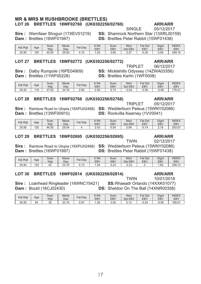### **MR & MRS M RUSHBROOKE (BRETTLES)** LOT 26 BRETTLES 18WF02760 (UK0302256/02760)

### **ARR/ARR** 05/12/2017

**SINGLE** 

**SS: Shamrock Northern Star (13XRL00159)** 

**DS: Brettles Peter Rabbit (15WF01438)** 

| Adj Wgt | Age | Scan<br>Wat | <b>Mscle</b><br>Dep | Dep<br>$at$ . | २ Wk<br>EBV | Scan<br>EBV | <b>Mscl</b><br>Dpt EBV | Fat Dpt<br>EBV | Gigot<br>EB۱ | <b>INDEX</b><br><b>EBV</b> |
|---------|-----|-------------|---------------------|---------------|-------------|-------------|------------------------|----------------|--------------|----------------------------|
| 23.90   | 120 | 45.50       | 29.50               | .10           | $ -$<br>.55 | 3.80        | ົ່<br>د.ء              | 0.30           | 0.09         | 249.15                     |

#### **LOT 27** BRETTLES 18WF02772 (UK0302256/02772)

**Sire: Dalby Rumpole (16PE04909)** Dam: Brettles (11WF00228)

Sire: Wernfawr Shogun (17XEV01219)

Dam: Brettles (16WF01947)

**TRIPI FT** SS: Micklehills Odyssey (14ZWA03356) **DS: Brettles Karlin (1WF0008)** 

**TRIPLET** 

**DS:** Rockvilla Kearney (1VV0041)

| Adj Wgt | Age | Scan<br>Wgt | <b>Mscle</b><br>Dep | Fat<br>Dep | 3 Wk<br>EBV | Scan<br><b>EBV</b>                                             | Mscl<br><b>EBV</b><br>Dpt | <b>Fat Dpt</b><br>EBV | Gigot<br>EB۱ | <b>INDEX</b><br>EBV |
|---------|-----|-------------|---------------------|------------|-------------|----------------------------------------------------------------|---------------------------|-----------------------|--------------|---------------------|
| 25.40   | 119 | 47.50<br>4  | 4.76<br>24          | 2.90       | 2.59        | $\overline{\phantom{a}}$<br>ن '<br>$\mathsf{U}$ . $\mathsf{I}$ | $-0.64$                   | $-0.56$               | $-0.99$      | 178.41              |

### LOT 28 BRETTLES 18WF02768 (UK0302256/02768)

Sire: Rainbow Road to Utopia (16XPU02468) SS: Wedderburn Peleus (15WNY02086) **Dam: Brettles (13WF00910)** 

| Adj Wgt | Age | Scan<br>Wgt | <b>Mscle</b><br>Dep | <b>Fat Dep</b> | 3 Wk<br><b>EBV</b> | Scan<br>EBV | <b>Mscl</b><br><b>EBV</b><br>Dpt | Fat Dpt<br>EBV | Gigot<br><b>EBV</b>           | <b>INDEX</b><br><b>EBV</b> |
|---------|-----|-------------|---------------------|----------------|--------------------|-------------|----------------------------------|----------------|-------------------------------|----------------------------|
| 25.80   | 120 | 46.50       | 29.04               |                | $\sim$ 10<br>Z.43  | 6.54        | 0.94                             | ገ 14<br>$-U.$  | $\Delta$ $\Omega$<br><u>.</u> | 253.57<br>57               |

### LOT 29 BRETTLES 18WF02695 (UK0302256/02695)

**TWIN** 02/12/2017

Sire: Rainbow Road to Utopia (16XPU02468) SS: Wedderburn Peleus (15WNY02086) Dam: Brettles (16WF01897) **DS: Brettles Peter Rabbit (15WF01438)** 

| Adj Wgt | Age           | Scan<br>Wqt | <b>Mscle</b><br>Dep | Fat<br>Dep          | ९ Wk<br><b>EBV</b> | Scan<br>EBV    | <b>Mscl</b><br>Dpt EBV | Fat<br>Dpt<br>EBV | Gigot<br><b>EBV</b>    | <b>INDEX</b><br><b>EBV</b> |
|---------|---------------|-------------|---------------------|---------------------|--------------------|----------------|------------------------|-------------------|------------------------|----------------------------|
| 20.90   | $\sim$<br>نڪا | ∼∼          | 24.76<br>$\sim$     | $\sqrt{2}$<br>ں ا ، | ∣.94               | $\cap$<br>∪.∠∪ | $\sim$ $\sim$<br>-0.ZJ |                   | <b>R3</b><br>$. \circ$ | 208.72                     |

#### BRETTLES 18WF02814 (UK0302256/02814) **LOT 30**

Sire: Loanhead Ringleader (16WNC15421) **Dam: Bould (16CJ02430)** 

SS: Rhaeadr Orlando (14XXK01077)

**TWIN** 

DS: Sheldon On The Ball (14XNR00358)

| Adj Wgt | Age | Scan<br>Wgt | <b>Mscle</b><br>Dep | <b>Fat Dep</b> | 3 Wk<br><b>EBV</b> | Scan<br><b>EBV</b> | Mscl<br>EBV<br>Dpt | Fat Dpt<br><b>EBV</b> | Gigot<br><b>EBV</b> | <b>INDEX</b><br>EBV |
|---------|-----|-------------|---------------------|----------------|--------------------|--------------------|--------------------|-----------------------|---------------------|---------------------|
| 26.50   | 84  | っに<br>ັບ    | 22.16               | J.97           | .28                | $E^{\sim}$<br>J.JZ | ◡. ⊥∠              | $-0.54$               | $-0.06$             | 168.91              |

### **ARR/ARR**

**ARR/ARR** 

05/12/2017

**ARR/ARR** 

**ARR/ARR** 

10/01/2018

06/12/2017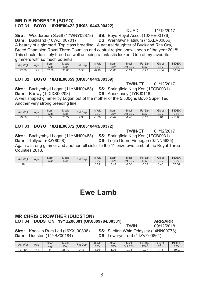### **MR D B ROBERTS (BOYO)** LOT 31 BOYO 18XHE00422 (UK0310443/00422)

**QUAD** 11/12/2017

Sire: Wedderburn Savill (17WNY02878) SS: Boyo Royal Ascot (16XHE00176) Dam: Buckland (16WCF00701)

DS: Wernfawr Platinum (15XEV00866)

A beauty of a gimmer! Top class breeding. A natural daughter of Buckland Rita Ora, Breed Champion Royal Three Counties and central region show sheep of the year 2018! This should definitely breed as well as being a fantastic looker! One of my favourite gimmers with so much potential.

| Adj Wgt | Age | Scan<br>Wgt         | <b>Mscle</b><br>Dep | <b>Fat Dep</b> | 9 Wk<br><b>EBV</b> | Scan<br>EBV | <b>Mscl</b><br>Dpt EBV | Fat<br>Dpt<br><b>EBV</b> | Gigot<br><b>EBV</b> | <b>INDEX</b><br><b>EBV</b> |
|---------|-----|---------------------|---------------------|----------------|--------------------|-------------|------------------------|--------------------------|---------------------|----------------------------|
| 27.60   | 141 | 57<br>$^{\circ}.80$ | 31.03<br>$\Omega$   | E EO.<br>5.53  | $-0.19$            | $-0.83$     | $-0.24$                | $-0.29$                  | .84                 | 60.64                      |

### LOT 32 BOYO 18XHE00359 (UK0310443/00359)

**TWIN-FT** 01/12/2017

Sire: Bachymbyd Logan (11YMH00483) SS: Springfield King Ken (1ZGB0031) **Dam: Banwy (12XXS00203)** 

**DS:** Aberkinsey (1YBJ0116)

A well shaped gimmer by Logan out of the mother of the 5.500gns Boyo Super Ted. Another very strong breeding line.

| Adj Wgt | Age             | Scan             | <b>Mscle</b>  | <b>Fat Dep</b> | 3 Wk       | Scan       | Mscl              | Fat<br>Dpt | Gigot             | <b>INDEX</b> |
|---------|-----------------|------------------|---------------|----------------|------------|------------|-------------------|------------|-------------------|--------------|
|         |                 | Wat              | Dep           |                | <b>EBV</b> | <b>EBV</b> | <b>EBV</b><br>Dpt | <b>EBV</b> | <b>EBV</b>        | <b>EBV</b>   |
| 23.50   | 15 <sup>′</sup> | $- -$<br>h<br>JJ | 20.27<br>Zŏ.Z | 90.ء           | . 36       | 3.47       | . 43              | $-0.19$    | $^{\circ}$<br>v.v | 10.88        |

### LOT 33 BOYO 18XHE00372 (UK0310443/00372)

**TWIN-ET** 01/12/2017

Sire: Bachymbyd Logan (11YMH00483) SS: Springfield King Ken (1ZGB0031)

Dam: Tullyear (0QY8028)

**DS:** Logie Durno Finnegan (0ZNN5635)

Again a strong gimmer and another full sister to the 1<sup>st</sup> prize ewe lamb at the Royal Three Counties 2018.

| Adj Wgt | Age | Scan<br>Wat | <b>Mscle</b><br>Dep | <b>Fat Dep</b> | <b>SWK</b><br><b>EBV</b> | Scan<br><b>EBV</b> | Mscl<br><b>EBV</b><br><b>Dpt</b> | <b>Fat Dpt</b><br>EBV | Gigot<br>EBV | <b>INDEX</b><br><b>EBV</b> |
|---------|-----|-------------|---------------------|----------------|--------------------------|--------------------|----------------------------------|-----------------------|--------------|----------------------------|
| 28      |     |             |                     |                | 0.24                     | 0.48               | . .38<br>- 1                     | $-0.03$               | 0.48         | 67.66                      |

# Ewe Lamb

### **MR CHRIS CROWTHER (DUDSTON)** LOT 34 DUDSTON 19YBZ00381 (UK0309784/00381)

**ARR/ARR** 

Sire: Knockin Rum Lad (16XXJ00308) Dam: Dudston (14YBZ00184)

**TWIN** 09/12/2018 **SS: Skelton Whin Oddysey (14NN00778)** DS: Lowerye Lord (11ZVY00861)

| Adj Wgt              | Age | Scan<br>Wqt | <b>Mscle</b><br>Dep | Dep<br>Fat.                                        | 9 Wk<br>EBV | Scan<br>EBV | Mscl<br>Dpt EBV         | <b>Fat Dpt</b><br>EBV | Gigot<br>EB\             | <b>INDEX</b><br><b>EBV</b> |
|----------------------|-----|-------------|---------------------|----------------------------------------------------|-------------|-------------|-------------------------|-----------------------|--------------------------|----------------------------|
| $\sim$<br>.40<br>، ے | 141 | -<br>54     | 28.70               | $\rightarrow$<br>4<br>$\mathsf{v}.\mathsf{\tau}$ . | .94         | .96،        | $\rightarrow$<br>$-U.1$ | .07<br>−∪.∠.          | $\overline{\phantom{a}}$ | 189.07                     |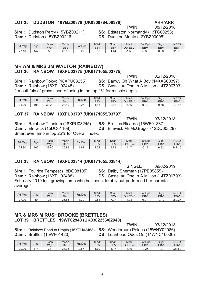### LOT 35 DUDSTON 19YBZ00379 (UK0309784/00379)

### **ARR/ARR**

08/12/2018

Sire: Dudston Percy (15YBZ00211) Dam: Dudston (15YBZ00216)

SS: Edstaston Normandy (13TG00253) **DS:** Dudston Monty (12YBZ00095)

**TWIN** 

| Adj Wgt | Age | Scan<br>Wat | <b>Mscle</b><br>Dep       | $=$ at<br>Dep      | 9 Wk<br>EB\ | Scan<br><b>EBV</b> | <b>Mscl</b><br>Dpt EBV | $E_{\Omega}$ +<br>Dpt<br>'dl<br>EBV | Gigot<br>EB\ | <b>INDEX</b><br><b>EBV</b> |
|---------|-----|-------------|---------------------------|--------------------|-------------|--------------------|------------------------|-------------------------------------|--------------|----------------------------|
| 27.10   | 142 | 50          | .50<br>$\sim$<br><u>_</u> | $\sim$<br>u<br>◡.∠ | 0.60        | 44<br>. .          | . .50                  | $-0.38$                             | 0.93         | Q1<br>1.19                 |

### **MR AM & MRS JM WALTON (RAINBOW)** LOT 36 RAINBOW 19XPU03775 (UK0171055/03775)

02/12/2018 **TWIN Sire: Rainbow Tokyo (18XPU03255) SS: Banwy Oh What A Boy (14XXS00397)** Dam: Rainbow (16XPU02445) DS: Castellau One In A Million (14TZ00793) 2 mouthfuls of grass short of being in the top 1% for muscle depth.

| Adj Wgt | Age | Scan<br>Wat     | <b>Mscle</b><br>Dep | $T_{\alpha+1}$<br>Dep<br>άι | 8 Wk<br><b>EBV</b> | Scan<br><b>EBV</b> | <b>Mscl</b><br>Dpt EBV | Fat<br>Dpt<br><b>EBV</b> | Gigot<br><b>EBV</b> | <b>INDEX</b><br>EBV |
|---------|-----|-----------------|---------------------|-----------------------------|--------------------|--------------------|------------------------|--------------------------|---------------------|---------------------|
| 21.20   | 101 | 33.20<br>$\cap$ | 28.19               | $\sim$<br><u>_._</u>        | . v                | 2.82               | 2.86                   | 0.34                     | 0.58                | 240.46              |

### LOT 37 RAINBOW 19XPU03797 (UK0171055/03797)

**Sire: Rainbow Titanium (18XPU03245) Dam: Elmwick (15DQ01108)** Smart ewe lamb in top 25% for Overall Index.

**TWIN** 03/12/2018 SS: Brettles Ricardo (16WF01887) **DS:** Elmwick Mr McGregor (12DQ00529)

| Adj Wgt | Age | Scan<br>Wat | <b>Mscle</b><br>Dep | $at$<br>Dep | 8 Wk<br><b>EBV</b>                       | Scan<br>EBV  | Mscl<br>Dpt EBV | Fat Dpt<br>EBV     | Gigot<br><b>EBV</b> | <b>INDEX</b><br><b>EBV</b> |
|---------|-----|-------------|---------------------|-------------|------------------------------------------|--------------|-----------------|--------------------|---------------------|----------------------------|
| 24.90   | 100 | 32.60       | 26.98               | .67         | $\overline{\phantom{a}}$<br>. <u>. .</u> | 70<br>J. I U | .47             | $\sim$<br>$-U. IL$ | ר גח<br>∪.∪∠        | 247.10                     |

### LOT 38 RAINBOW 19XPU03814 (UK0171055/03814)

**Sire: Foulrice Tempest (18DG08105)** 

**SINGLE** 09/02/2019 SS: Dalby Sherman (17PE05855)

Dam: Rainbow (16XPU02488) **DS:** Castellau One In A Million (14TZ00793) February 2019 fast growing lamb who has considerably out-performed her parental average!

| Adj Wgt                         | Age | Scan<br>Wat | <b>Mscle</b><br>Dep | Fat<br>Dep | 9 Wk<br>EBV           | Scan<br>EBV   | <b>Mscl</b><br>Dpt EBV | Fat<br>Dpt<br>EBV | Gigot<br>EB\ | <b>INDEX</b><br><b>EBV</b> |
|---------------------------------|-----|-------------|---------------------|------------|-----------------------|---------------|------------------------|-------------------|--------------|----------------------------|
| $\sim$<br>$^{\prime}.20$<br>ا ک | 89  | 38          | 25.53               | 3.30       | O <sub>4</sub><br>د.ه | $\sim$<br>.U. | $\sim$<br>.∪J          | J.04              | -v.<br>. .   | 259.27                     |

### **MR & MRS M RUSHBROOKE (BRETTLES)** LOT 39 BRETTLES 19WF02940 (UK0302256/02940)

**TWIN** 03/12/2018 Sire: Rainbow Road to Utopia (16XPU02468) SS: Wedderburn Peleus (15WNY02086) Dam: Brettles (15WF01420) DS: Loanhead Odds On (14WNC10006)

| Adj Wgt | Age | Scan<br>Wat | <b>Mscle</b><br>Dep | Fat<br>Dep               | 8 Wk<br><b>EBV</b> | Scan<br><b>EBV</b> | <b>Mscl</b><br>Dpt<br><b>EBV</b> | Fat<br>Dpt<br>EBV | Gigot<br><b>EBV</b> | <b>INDEX</b><br><b>EBV</b> |
|---------|-----|-------------|---------------------|--------------------------|--------------------|--------------------|----------------------------------|-------------------|---------------------|----------------------------|
| 20.20   | 114 | 38          | 28.95               | $-$<br><u>—</u><br>، ب ے | .69                | T. I I             | . 46                             | 0.25              | 1.97                | 221.59                     |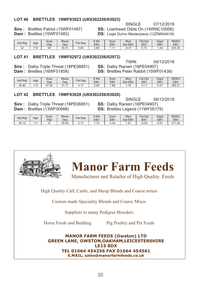### LOT 40 BRETTLES 19WF03023 (UK0302256/03023)

# **Sire**: Brettles Patriot (15WF01487) **SS:** Loanhead Odds On (14WNC10006) **Dam**: Brettles (15WF01483) **DS:** Logie Durno Masterpiece (12ZNN04418)

**DS:** Logie Durno Masterpiece (12ZNN04418)

| Adj Wgt      | Age | Scan<br>Wat | <b>Mscle</b><br>Dep | $F_{at}$<br>Dep | S Wk<br><b>EBV</b> | Scan<br>EBV | Mscl<br>Dpt EBV | $=$ at<br>Dpt<br><b>EBV</b>           | Gigot<br>EB\ | <b>INDEX</b><br><b>EBV</b> |
|--------------|-----|-------------|---------------------|-----------------|--------------------|-------------|-----------------|---------------------------------------|--------------|----------------------------|
| $\sim$<br>ےں | 10  | 54          | 30.51               | മാ<br>ວ.໐ວ      | 2.85               | -           | .07<br>-u.o.    | $\overline{\phantom{a}}$<br>$\cup$ ., | .44          | 243.30                     |

### LOT 41 BRETTLES 19WF02972 (UK0302256/02972)

**Sire**: Dalby Triple Threat (18PE06851)<br>**Dam**: Brettles (16WF01858)

.04 TWIN<br>**SS:** Dalby Ranieri (16PE04907) **DS: Brettles Peter Rabbit (15WF01438)** 

SINGLE 07/

| Adi Wat | Age               | Scan<br>Wgt | <b>Mscle</b><br>Dep | Fat<br>Dep               | ९ Wk<br><b>EBV</b> | Scan<br><b>EBV</b> | <b>Mscl</b><br>EBV<br>Dpt | $\Gamma_{\alpha}$ +<br>Dpt<br>άι<br><b>EBV</b> | Gigot<br><b>EBV</b> | <b>INDEX</b><br><b>EBV</b> |
|---------|-------------------|-------------|---------------------|--------------------------|--------------------|--------------------|---------------------------|------------------------------------------------|---------------------|----------------------------|
| 28.80   | $\sqrt{2}$<br>ن ا | .50<br>4    | $\rightarrow$       | $\overline{\phantom{a}}$ | 2.99               | 7.88               | .18                       | <b>CA</b><br>- 1                               | 0.47                | 285.31                     |

### LOT 42 BRETTLES 19WF03020 (UK0302256/03020)

**Sire**: Dalby Triple Threat (18PE06851) **SS:** Dalby Ranieri (16PE04907)<br>**Dam**: Brettles (13WF00888) **DS:** Brettles Legend (11WF0017

SINGLE 06/ 12/2018 **DS:** Brettles Legend (11WF00175)

| Adj Wgt | Age | Scan<br>Wat | <b>Mscle</b><br>Dep | <b>Fat Dep</b>                | 3 Wk<br><b>EBV</b> | Scan<br><b>EBV</b> | <b>Mscl</b><br>Dpt<br><b>EBV</b> | <b>Fat Dpt</b><br><b>EBV</b> | Gigot<br>EB\ | <b>INDEX</b><br>EBV |
|---------|-----|-------------|---------------------|-------------------------------|--------------------|--------------------|----------------------------------|------------------------------|--------------|---------------------|
| 26.10   | 144 |             | 28.95               | $\overline{\phantom{a}}$<br>. | 70<br>ັ<br>. .     | 44                 | . 81                             | $-0.06$                      | n a1<br>∪.∪  | 074<br>.26          |



High Quality Calf, Cattle, and Sheep Blends and Coarse mixes

Custom made Speciality Blends and Coarse Mixes

Suppliers to many Pedigree Breeders

Horse Feeds and Bedding Pig Poultry and Pet Feeds

**Manor Farm Feeds** 

**MANOR FARM FEEDS (Owston) LTD GREEN LANE, OWSTON,OAKHAM,LEICESTERSHIRE LE15 8DX TEL 01664 454256 FAX 01664 454561 E.MAIL; sales@manorfarmfeeds.co.uk** 



12/2018<sup>'</sup>

12/2018<sup>'</sup>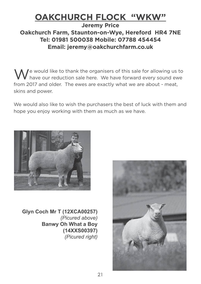# **OAKCHURCH FLOCK "WKW"**

### **Jeremy Price Oakchurch Farm, Staunton-on-Wye, Hereford HR4 7NE Tel: 01981 500038 Mobile: 07788 454454 Email: jeremy@oakchurchfarm.co.uk**

We would like to thank the organisers of this sale for allowing us to<br>
We have our reduction sale here. We have forward every sound ewe from 2017 and older. The ewes are exactly what we are about - meat, skins and power.

We would also like to wish the purchasers the best of luck with them and hope you enjoy working with them as much as we have.



**Glyn Coch Mr T (12XCA00257)** *(Picured above)* **Banwy Oh What a Boy (14XXS00397)** *(Picured right)*

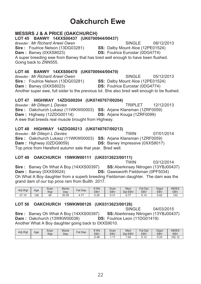# **Oakchurch Ewe**

### Breeder: Mr Richard Arwel Owen SINGLE 08/12/2013 Sire: Foulrice Nelson (13DG03281) SS: Dalby Mount Aloe (12PE01524) **DS: Foulrice Eurostar (0DG4774)** Dam: Banwy (0XXS8023) A super breeding ewe from Banwy that has bred well enough to have been flushed. Going back to ZNN555. LOT 46 BANWY 14XXS00470 (UK0700944/00470) Breeder: Mr Richard Arwel Owen SINGLE Sire: Foulrice Nelson (13DG03281) SS: Dalby Mount Aloe (12PE01524) Dam: Banwy (0XXS8023) **DS: Foulrice Eurostar (0DG4774)** Another super ewe, full sister to the previous lot. She also bred well enough to be flushed. LOT 47 HIGHWAY 14ZDG00204 (UK0740767/00204)

Breeder: Mr Dilwyn L Davies **TRIPLET** 12/12/2013 Sire: Oakchurch Lukasz (11WKW00003) SS: Ariane Klansman (1ZRF0059) Dam: Highway (12ZDG00114) **DS:** Ariane Kouga (1ZRF0099) A ewe that breeds real muscle brought from Highway.

### LOT 48 HIGHWAY 14ZDG00213 (UK0740767/00213)

**MESSRS J & A PRICE (OAKCHURCH)** 

LOT 45 BANWY 14XXS00437 (UK0700944/00437)

07/01/2014 Breeder: Mr Dilwyn L Davies **TWIN** Sire: Oakchurch Lukasz (11WKW00003) SS: Ariane Klansman (1ZRF0059) Dam: Highway (0ZDG9059) **DS:** Banwy Impressive (0XXS8017) Top price from Hereford autumn sale that year. Bred well.

### LOT 49 OAKCHURCH 15WKW00111 (UK0313623/00111)

**TWIN** 03/12/2014 Sire: Banwy Oh What A Boy (14XXS00397) SS: Aberkinsey Nitrogen (13YBJ00437) Dam: Banwy (0XXS9024) **DS:** Gawsworth Fieldsman (0PF5034) Oh What A Boy daughter from a superb breeding Fieldsman daughter. The dam was the grand dam of our top price ram from Builth 2017.

| Adj Wgt                             | Age | Scan<br>Wat | <b>Mscle</b><br>Dep | Dep<br>Fat                            | 8 Wk<br>EBV | Scan<br>EBV | <b>Mscl</b><br><b>Dpt</b><br>EBV. | Fat<br>Dpt<br><b>EBV</b> | Gigot<br><b>EBV</b> | <b>INDEX</b><br><b>EBV</b> |
|-------------------------------------|-----|-------------|---------------------|---------------------------------------|-------------|-------------|-----------------------------------|--------------------------|---------------------|----------------------------|
| $\sim$ $\rightarrow$<br>.10<br>ا ہے | 126 | 49          | 30.05               | $\overline{\phantom{a}}$<br>L.<br>. . | 0.25        | ∩ ว∢<br>∪.∪ | $\overline{\phantom{a}}$          | 14                       | 0.62                | 133                        |

### LOT 50 OAKCHURCH 15WKW00126 (UK0313623/00126)

**SINGLE** 04/03/2015 **Sire:** Banwy Oh What A Boy (14XXS00397) SS: Aberkinsey Nitrogen (13YBJ00437) **Dam:** Oakchurch (13WKW00038) **DS:** Foulrice Leon (11DG01419) Another What A Boy daughter going back to 0XXS9010.

| Adj Wgt | Age | Scan<br>Wat | <b>Mscle</b><br>Dep | <b>Fat Dep</b> | 9 Wk<br><b>EBV</b> | Scan<br><b>EBV</b>       | <b>Mscl</b><br>Dpt EBV | <b>Fat Dpt</b><br><b>EBV</b> | Gigot<br>EB\ | <b>INDEX</b><br><b>EBV</b> |
|---------|-----|-------------|---------------------|----------------|--------------------|--------------------------|------------------------|------------------------------|--------------|----------------------------|
|         |     |             |                     |                | 0.48               | $\overline{\phantom{a}}$ | .04                    | $\sqrt{2}$<br>◡. ।∠          | 0.24         | 162.12                     |

05/12/2013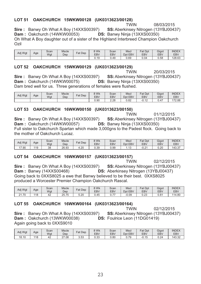### LOT 51 OAKCHURCH 15WKW00128 (UK0313623/00128)

**TWIN** 

08/03/2015

Sire: Banwy Oh What A Boy (14XXS00397) SS: Aberkinsey Nitrogen (13YBJ00437) Dam: Oakchurch (14WKW00053) DS: Banwy Ninja (13XXS00350) Oh What A Boy daughter out of a sister of the Highland Interbreed Champion Oakchurch  $OziI$ 

| Adj Wgt | Age | Scan<br>Wgt | <b>Mscle</b><br>Dep | Fat Dep | <u>२ Wk</u><br>EBV | Scan<br>EBV | <b>Mscl</b><br>Dpt<br><b>EBV</b> | <b>Fat Dpt</b><br>EBV | Gigot<br>EB\ | <b>INDEX</b><br><b>EBV</b> |
|---------|-----|-------------|---------------------|---------|--------------------|-------------|----------------------------------|-----------------------|--------------|----------------------------|
|         |     |             |                     |         | 0.19               | 0.49        | 0.69                             | J.04                  | 0.58         | 128.63                     |

### LOT 52 OAKCHURCH 15WKW00129 (UK0313623/00129)

**TWIN** 20/03/2015 Sire: Banwy Oh What A Boy (14XXS00397) SS: Aberkinsey Nitrogen (13YBJ00437) Dam: Oakchurch (14WKW00075) **DS: Banwy Ninja (13XXS00350)** Dam bred well for us. Three generations of females were flushed.

| Adj Wgt | Age | Scan<br>Wgt | <b>Mscle</b><br>Dep | Fat Dep | $3$ Wk<br><b>EBV</b> | Scan<br>EBV | <b>Mscl</b><br>Dpt EBV | Fat Dpt<br>EBV    | Gigot<br>EB\ | <b>INDEX</b><br><b>EBV</b> |
|---------|-----|-------------|---------------------|---------|----------------------|-------------|------------------------|-------------------|--------------|----------------------------|
|         |     |             |                     |         | 0.90                 | 2.28        | 0.82                   | ົ 4 ຕ<br>$-U. IL$ | J.47         | 172.88                     |

### LOT 53 OAKCHURCH 16WKW00150 (UK0313623/00150)

**TWIN** 01/12/2015 Sire: Banwy Oh What A Boy (14XXS00397) **SS: Aberkinsey Nitrogen (13YBJ00437)** Dam: Oakchurch (14WKW00057) DS: Banwy Ninja (13XXS00350) Full sister to Oakchurch Spartan which made 3,000gns to the Padest flock. Going back to the mother of Oakchurch Lucaz.

| Adj Wgt      | Age | Scan<br>Wqt | <b>Mscle</b><br>Dep | Dep<br>Fat | ९ Wk<br>EB\ | Scan<br>EBV | <b>Mscl</b><br>Dpt EBV | Fat<br>` Dpt<br><b>EBV</b> | Gigot<br>EB\ | <b>INDEX</b><br><b>EBV</b> |
|--------------|-----|-------------|---------------------|------------|-------------|-------------|------------------------|----------------------------|--------------|----------------------------|
| $\sqrt{.90}$ | 119 | 38          | 26.93               | $-20$      | 0.39        | 0.99        | .                      | $\bigcap$<br>U.Z           | 0.20         | 143.3.                     |

### LOT 54 OAKCHURCH 16WKW00157 (UK0313623/00157)

**TWIN** 02/12/2015 Sire: Banwy Oh What A Boy (14XXS00397) **SS: Aberkinsey Nitrogen (13YBJ00437) Dam: Banwy (14XXS00468) DS: Aberkinsey Nitrogen (13YBJ00437)** Going back to 0XXS8025 a ewe that Banwy believed to be their best. 0XXS8025 produced a Worcester Premier Champion Oakchurch Rascal.

| Adj Wgt                    | Age | Scan<br>Wat | <b>Mscle</b><br>Dep | Fat Dep | 8 Wk<br>EBV | Scan<br>EBV                     | Mscl<br><b>EBV</b><br>Dpt | <b>Fat Dpt</b><br><b>EBV</b> | Gigot<br>EB <sub>V</sub> | <b>INDEX</b><br><b>EBV</b> |
|----------------------------|-----|-------------|---------------------|---------|-------------|---------------------------------|---------------------------|------------------------------|--------------------------|----------------------------|
| $\sim$<br>1.70<br><u>~</u> | 118 | 44          | 75<br>つに<br>20.IJ   | 5.20    | 0.45        | $\overline{\phantom{a}}$<br>◡.≀ | $-0.09$                   | $\sim$ $\sim$<br>u.zu        | $0.8^{\circ}$            | 14.80                      |

### LOT 55 OAKCHURCH 16WKW00164 (UK0313623/00164)

Sire: Banwy Oh What A Boy (14XXS00397) Dam: Oakchurch (13WKW00038) Again going back to 0XXS9010

**TWIN** 02/12/2015 SS: Aberkinsey Nitrogen (13YBJ00437) **DS: Foulrice Leon (11DG01419)** 

| Adj Wgt | Age | Scan<br>Wat | <b>Mscle</b><br>Dep | <b>Fat Dep</b> | 9 Wk<br>EBV | Scan<br><b>EBV</b> | <b>Mscl</b><br>Dpt EBV             | Fat Dpt<br><b>EBV</b> | Gigot<br>EBV | <b>INDEX</b><br><b>EBV</b> |
|---------|-----|-------------|---------------------|----------------|-------------|--------------------|------------------------------------|-----------------------|--------------|----------------------------|
| 18.10   | 18  | 42          | 27.08               | 3.53           | מ ה<br>U.33 | 0.80               | .79<br>$\mathsf{U}$ . $\mathsf{I}$ | $-0.15$               | 0.24         | 143.32                     |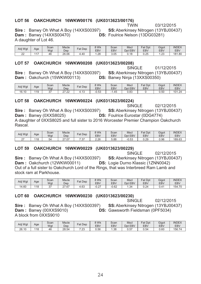### LOT 56 OAKCHURCH 16WKW00176 (UK0313623/00176)

**TWIN** 

Sire: Banwy Oh What A Boy (14XXS00397) **Dam: Banwy (14XXS00470)** A daughter of Lot 46.

03/12/2015 SS: Aberkinsey Nitrogen (13YBJ00437) **DS: Foulrice Nelson (13DG03281)** 

| Adj Wgt     | Age | Scan<br>Wat  | <b>Mscle</b><br>Dep | $F$ at<br>Dep | 8 Wk<br><b>EBV</b> | Scan<br><b>EBV</b> | <b>Msci</b><br>Dpt EBV | Fat<br>Dpt<br>EBV | Gigot<br><b>EBV</b> | <b>INDEX</b><br><b>EBV</b> |
|-------------|-----|--------------|---------------------|---------------|--------------------|--------------------|------------------------|-------------------|---------------------|----------------------------|
| $\sim$<br>∸ | 47  | $\sim$<br>46 | 26.06               | 4.40          | ററ<br>ة∠.          | 3.05               | 40<br>∪. ı∪            | 0.25              | $\Omega$<br>ںے.     | 181.80                     |

### LOT 57 OAKCHURCH 16WKW00208 (UK0313623/00208)

Sire: Banwy Oh What A Boy (14XXS00397) Dam: Oakchurch (15WKW00113)

**SINGLE** 01/12/2015 SS: Aberkinsey Nitrogen (13YBJ00437) DS: Banwy Ninja (13XXS00350)

02/12/2015

SINGLE

| Adi Wat | Age | Scan<br>Wgt  | <b>Mscle</b><br>Dep        | $=$ at<br>Dep     | 9 Wk<br><b>EBV</b> | Scan<br>EBV | <b>Mscl</b><br>Dpt<br><b>EBV</b> | $=$ at<br>Dpt<br>EBV | Gigot<br><b>EBV</b> | <b>INDEX</b><br><b>EBV</b> |
|---------|-----|--------------|----------------------------|-------------------|--------------------|-------------|----------------------------------|----------------------|---------------------|----------------------------|
| 16.10   | 119 | $\sim$<br>J. | ററ<br>$\sim$<br>ے ۔<br>، ے | $\sqrt{2}$<br>ا ب | $-0.53$            | .45         | 0.83                             |                      | 0.50                | 101.24                     |

### LOT 58 OAKCHURCH 16WKW00224 (UK0313623/00224)

Sire: Banwy Oh What A Boy (14XXS00397) SS: Aberkinsey Nitrogen (13YBJ00437) Dam: Banwy (0XXS8025) **DS: Foulrice Eurostar (0DG4774)** A daughter of 0XXS8025 and full sister to 2016 Worcester Premier Champion Oakchurch Rascal

| Adi Wat       | Age | Scan<br>Wat | <b>Mscle</b><br>Dep  | Fat Dep                     | 3 Wk<br><b>EBV</b> | Scan<br><b>EBV</b> | <b>Mscl</b><br><b>EBV</b><br>Dpt | Fat Dpt<br>EBV | Gigot<br>EB۱ | <b>INDEX</b><br>EBV |
|---------------|-----|-------------|----------------------|-----------------------------|--------------------|--------------------|----------------------------------|----------------|--------------|---------------------|
| $\sim$<br>- 1 | 118 | 54          | .07<br>$\sim$<br>ے ا | $\sim$ $\sim$ $\sim$<br>، ب | 2.26               | 5.88               | $-0.53$                          | 0.29           | 0.96         | 189.63              |

#### **LOT 59** OAKCHURCH 16WKW00229 (UK0313623/00229)

**SINGLE** 02/12/2015 Sire: Banwy Oh What A Boy (14XXS00397) SS: Aberkinsey Nitrogen (13YBJ00437) Dam: Oakchurch (12WKW00011) **DS:** Logie Durno Klassic (1ZNN0042) Out of a full sister to Oakchurch Lord of the Rings, that was Interbreed Ram Lamb and stock ram at Parkhouse

| Adj Wgt | Age | Scan<br>Wat | <b>Mscle</b><br>Dep  | $F$ at Dep        | 3 Wk<br>EBV | Scan<br><b>EBV</b> | <b>Mscl</b><br><b>EBV</b><br>Dpt | Fat Dpt<br>EBV | Gigot<br>EB۱ | <b>INDEX</b><br><b>EBV</b> |
|---------|-----|-------------|----------------------|-------------------|-------------|--------------------|----------------------------------|----------------|--------------|----------------------------|
| 14.60   | 118 | $\sim$ $-$  | .67<br>$\sim$<br>2 I | $\sim$<br>، 30، ، | $-0.27$     | $-0.62$            | 31<br>דט.ו                       | ∩ ∩⊿<br>J.ZU   | 0.41         | 154.70                     |

#### OAKCHURCH 16WKW00230 (UK0313623/00230) **LOT 60**

**Sire: Banwy Oh What A Boy (14XXS00397) Dam: Banwy (00XXS9010)** A block from 0XXS9010

**SINGLE** 02/12/2015 **SS: Aberkinsey Nitrogen (13YBJ00437) DS:** Gawsworth Fieldsman (0PF5034)

| Adj Wgt | Age | Scan<br>Wat | <b>Mscle</b><br>Dep | Fat<br>Dep         | 8 Wk<br><b>EBV</b> | Scan<br>EBV | <b>Mscl</b><br>Dpt EBV | Fat<br>Dpt<br>EBV | Gigot<br><b>EBV</b> | <b>INDEX</b><br><b>EBV</b> |
|---------|-----|-------------|---------------------|--------------------|--------------------|-------------|------------------------|-------------------|---------------------|----------------------------|
| 26.10   | 440 | 46          | 28.54               | $\sim$ 0.0<br>ں ے. | 0.56               | .38         | 57<br>U.O.             | J.54              | 0.60                | 156.74                     |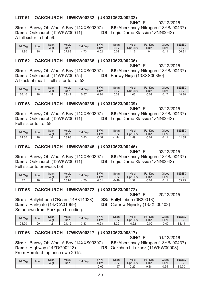#### **LOT 61** OAKCHURCH 16WKW00232 (UK0313623/00232)

SINGLE 02/12/2015

Sire: Banwy Oh What A Boy (14XXS00397) Dam: Oakchurch (12WKW00011) A full sister to Lot 59.

SS: Aberkinsey Nitrogen (13YBJ00437) **DS:** Logie Durno Klassic (1ZNN0042)

| Adj Wgt     | Age | $\sim$<br>Scan<br>Wat | Mscle<br>Dep               | Fat Dep                  | 8 Wk<br><b>EBV</b> | Scan<br>EBV | Mscl<br>EBV<br>Dpt | Fat Dpt<br><b>EBV</b> | Gigot<br>EB\ | <b>INDEX</b><br>EBV |
|-------------|-----|-----------------------|----------------------------|--------------------------|--------------------|-------------|--------------------|-----------------------|--------------|---------------------|
| 19<br>19.90 | 118 |                       | פס דר<br>.03<br><u> 41</u> | $\overline{\phantom{a}}$ | 0.02               | 0.02        | 16                 |                       | 741          | 156.31              |

### LOT 62 OAKCHURCH 16WKW00236 (UK0313623/00236)

**Sire:** Banwy Oh What A Boy (14XXS00397) Dam: Oakchurch (14WKW00075) A block of meat – full sister to Lot 52

**SINGLE** 02/12/2015 SS: Aberkinsey Nitrogen (13YBJ00437) DS: Banwy Ninja (13XXS00350)

| Adi Wat | Age | Scan<br>Wgt | <b>Mscle</b><br>Dep   | Dep<br>$=$ at | ९ Wk<br><b>EBV</b> | Scan<br><b>EBV</b> | Mscl<br>Dpt<br><b>EBV</b> | Fat Dpt<br><b>EBV</b> | Gigot<br><b>EBV</b> | <b>INDEX</b><br><b>EBV</b> |
|---------|-----|-------------|-----------------------|---------------|--------------------|--------------------|---------------------------|-----------------------|---------------------|----------------------------|
| 26.10   | 18  | . .<br>45   | $20^{\circ}$<br>29.44 | $-7$<br>.ن.ب  | 0.24               | 0.39               | .06                       | 0.02                  | 0.47                | 148.28                     |

#### **LOT 63** OAKCHURCH 16WKW00239 (UK0313623/00239)

**SINGLE** 02/12/2015 SS: Aberkinsey Nitrogen (13YBJ00437) **DS:** Logie Durno Klassic (1ZNN0042)

Sire: Banwy Oh What A Boy (14XXS00397) Dam: Oakchurch (12WKW00011) Full sister to Lot 59

| Adj Wgt | Age | Scan<br>Wat | <b>Mscle</b><br>Dep | Fat<br>Dep | 8 Wk<br>EBV | Scan<br><b>EBV</b> | Mscl<br><b>EBV</b><br>Dpt I | $E \cap$<br>Dpt<br>'dl<br><b>EBV</b> | Gigot<br>EBV     | <b>INDEX</b><br><b>EBV</b> |
|---------|-----|-------------|---------------------|------------|-------------|--------------------|-----------------------------|--------------------------------------|------------------|----------------------------|
| 24.30   | 18  | 40          | 28.98               | റ<br>ບ.ບບ  | 07<br>-u.o  | 44<br>- 1          | .59                         | $-0.02$                              | 0.4 <sup>2</sup> | 141.85                     |

### LOT 64 OAKCHURCH 16WKW00246 (UK0313623/00246)

Sire: Banwy Oh What A Boy (14XXS00397) Dam: Oakchurch (12WKW00011) Full sister to previous Lot

02/12/2015 SS: Aberkinsey Nitrogen (13YBJ00437) **DS:** Logie Durno Klassic (1ZNN0042)

| Adj Wgt | Age | Scan<br>Wqt | <b>Mscle</b><br>Dep | Fat Dep | <b>R</b> Wk<br><b>EBV</b> | Scan<br><b>EBV</b> | <b>Mscl</b><br>Dpt EBV | Dpt<br>$E \cap f$<br>'al<br><b>EBV</b> | Gigot<br><b>EBV</b> | <b>INDEX</b><br><b>EBV</b> |
|---------|-----|-------------|---------------------|---------|---------------------------|--------------------|------------------------|----------------------------------------|---------------------|----------------------------|
| $\sim$  | 18  |             | 28.97               | .70     | ∩ ∩1<br>U.U I             | 0.48               | - 27<br>ن. ا           | $-0.01$                                | ◡.¬                 | 153.23                     |

### **LOT 65** OAKCHURCH 16WKW00272 (UK0313623/00272) SINGLE

Sire: Ballyhibben O'Brian (14B314023)

Dam: Parkgate (14ZCA01069)

Smart ewe from Parkgate breeding.

| Adj Wgt | Age | Scan<br>Wat | <b>Mscle</b><br>Dep | $at$ .<br>Dep | 3 Wk<br><b>EBV</b> | Scan<br><b>EBV</b> | Mscl<br>Dpt EBV | Fat Dpt<br>EBV | Gigot<br>EBV   | <b>INDEX</b><br><b>EBV</b> |
|---------|-----|-------------|---------------------|---------------|--------------------|--------------------|-----------------|----------------|----------------|----------------------------|
| 24.20   | 100 | 44          | 24.15               | 202<br>ບ.ບບ   | 0.63               | .29                | $-0.62$         | 0.09           | 0.07<br>$\sim$ | 88.14<br>14                |

#### **LOT 66** OAKCHURCH 17WKW00317 (UK0313623/00317)

**SINGLE** 01/12/2016

Sire: Banwy Oh What A Boy (14XXS00397) Dam: Highway (14ZDG00213) From Hereford top price ewe 2015.

SS: Aberkinsey Nitrogen (13YBJ00437) DS: Oakchurch Lukasz (11WKW00003)

| Adj Wgt | Age | Scan<br>Wgt | <b>Mscle</b><br>Dep | <b>Fat Dep</b> | ९ Wk<br><b>EBV</b> | Scan<br><b>EBV</b> | <b>Mscl</b><br><b>EBV</b><br><b>D</b> pt | <b>Fat Dpt</b><br><b>EBV</b> | Gigot<br>EB\ | <b>INDEX</b><br><b>EBV</b> |
|---------|-----|-------------|---------------------|----------------|--------------------|--------------------|------------------------------------------|------------------------------|--------------|----------------------------|
|         |     |             |                     |                | -0.69              | . .97              | 0.25                                     | 0.28                         | 0.65         | 89.70                      |

20/12/2015

# **SINGLE**

SS: Ballyhibben (0B39013)

**DS: Carnew Nijinsky (13ZXJ00403)**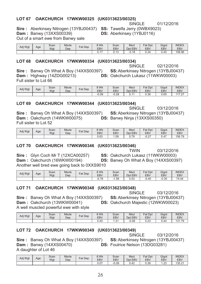### LOT 67 OAKCHURCH 17WKW00325 (UK0313623/00325)

01/12/2016

**Sire:** Aberkinsey Nitrogen (13YBJ00437)

SS: Tawelfa Jerry (0WBX9023) DS: Aberkinsey (1YBJ0116)

SINGLE

**Dam: Banwy (13XXS00339)** Out of a smart ewe from Banwy sale

| Adi Wat | Age | Scan<br>Wat | <b>Mscle</b><br>Dep | $at$ .<br>Dep | 8 Wk<br>EB <sub>V</sub> | Scan<br><b>EBV</b>    | <b>Mscl</b><br><b>EBV</b><br>Dpt        | $T_{\alpha+1}$<br>Dpt<br>đι<br><b>EBV</b> | Gigot<br>EBV | <b>INDEX</b><br><b>EBV</b> |
|---------|-----|-------------|---------------------|---------------|-------------------------|-----------------------|-----------------------------------------|-------------------------------------------|--------------|----------------------------|
|         |     |             |                     |               |                         | $\cdot$ $\cdot$<br>ີ. | $\overline{A}$ $\overline{O}$<br>·∪. IC | 0.34                                      | 0.45         | 108.96                     |

### LOT 68 OAKCHURCH 17WKW00334 (UK0313623/00334)

**Sire: Banwy Oh What A Boy (14XXS00397)** Dam: Highway (14ZDG00213) Full sister to Lot 66

**SINGLE** 02/12/2016 SS: Aberkinsey Nitrogen (13YBJ00437) **DS: Oakchurch Lukasz (11WKW00003)** 

| Adj Wgt | Age | Scan<br>Wgt | <b>Mscle</b><br>Dep | Fat<br>Dep | 8 Wk<br><b>EBV</b> | Scan<br>EBV | <b>Mscl</b><br><b>EBV</b><br>Dpt | Fat<br>Dpt<br><b>EBV</b> | Gigot<br>EB <sub>V</sub> | <b>INDEX</b><br>EBV                             |
|---------|-----|-------------|---------------------|------------|--------------------|-------------|----------------------------------|--------------------------|--------------------------|-------------------------------------------------|
|         |     |             |                     |            | $-0.09$            | $-0.28$     |                                  | 0.36                     | 0.65                     | $\sim$ $\sim$<br>$\rightarrow$<br>$\mathcal{L}$ |

### LOT 69 OAKCHURCH 17WKW00344 (UK0313623/00344)

**SINGLE** 03/12/2016 SS: Aberkinsey Nitrogen (13YBJ00437) DS: Banwy Ninia (13XXS00350)

Sire: Banwy Oh What A Boy (14XXS00397) Dam: Oakchurch (14WKW00075) Full sister to Lot 52

| Adj Wgt | Age | Scan<br>Wgt | <b>Mscle</b><br>Dep | $F_{at}$<br>Dep | 8 Wk<br>EB\ | Scan<br><b>EBV</b> | Msc<br><b>EBV</b><br>Dpt | Fat<br>Dpt<br><b>EBV</b> | Gigot<br>EBV | <b>INDEX</b><br><b>EBV</b> |
|---------|-----|-------------|---------------------|-----------------|-------------|--------------------|--------------------------|--------------------------|--------------|----------------------------|
|         |     |             |                     |                 | 0.63        | .59                | 70<br>ບ. 1 ວ             | $\sim$<br>--<br>U.Z      | 0.47         | 156.79                     |

### LOT 70 OAKCHURCH 17WKW00346 (UK0313623/00346)

**TWIN** 03/12/2016

**DS:** Banwy Oh What A Boy (14XXS00397)

SS: Oakchurch Lukasz (11WKW00003)

Sire: Glyn Coch Mr T (12XCA00257) Dam: Oakchurch (16WKW00194) Another well bred ewe going back to 0XXS9010

| Adj Wgt | Age | Scan<br>Wat | <b>Mscle</b><br>Dep | Fat<br>Dep | 8 Wk<br>EBV | Scan<br><b>EBV</b> | <b>Mscl</b><br>Dpt EBV | Fat Dpt<br>EBV | Gigot<br>EB <sub>V</sub> | <b>INDEX</b><br><b>EBV</b> |
|---------|-----|-------------|---------------------|------------|-------------|--------------------|------------------------|----------------|--------------------------|----------------------------|
|         |     |             |                     |            | $-0.78$     | 1.58               | 0.53                   | $-0.40$        | $-0.30$                  | 74.04                      |

### LOT 71 OAKCHURCH 17WKW00348 (UK0313623/00348)

Sire: Banwy Oh What A Boy (14XXS00397) Dam: Oakchurch (13WKW00041)

**SINGLE** 03/12/2016 SS: Aberkinsey Nitrogen (13YBJ00437) DS: Oakchurch Majestic (12WKW00023)

A well muscled powerful ewe with style

| Adj Wgt | Age | Scan<br>Wat | <b>Mscle</b><br>Dep | Fat Dep | 8 Wk<br><b>EBV</b> | Scan<br><b>EBV</b>     | Mscl<br>Dpt<br><b>EBV</b> | Fat Dpt<br><b>EBV</b> | Gigot<br><b>EBV</b> | <b>INDEX</b><br><b>EBV</b> |
|---------|-----|-------------|---------------------|---------|--------------------|------------------------|---------------------------|-----------------------|---------------------|----------------------------|
|         |     |             |                     |         | 0.45               | 2 <sub>1</sub><br>، ن. | $-0.08$                   | റ ററ<br>∪.∠ა          | 44.ں                | 131.79                     |

### LOT 72 OAKCHURCH 17WKW00349 (UK0313623/00349)

Sire: Banwy Oh What A Boy (14XXS00397) **Dam: Banwy (14XXS00470)** A daughter of Lot 46

SINGLE 03/12/2016 SS: Aberkinsey Nitrogen (13YBJ00437) DS: Foulrice Nelson (13DG03281)

| Adj Wgt | Age | Scan<br>Wat | <b>Mscle</b><br>Dep | $Fat$ .<br>Dep | ९ Wk<br><b>EBV</b>          | Scan<br>EBV | <b>Mscl</b><br><b>EBV</b><br>Dpt | Fat<br>Dpt<br><b>EBV</b> | Gigot<br>EBV   | <b>INDEX</b><br>EBV |
|---------|-----|-------------|---------------------|----------------|-----------------------------|-------------|----------------------------------|--------------------------|----------------|---------------------|
|         |     |             |                     |                | $\sim$ $\sim$ $\sim$<br>v.v | $-0.09$     | 0.42                             | 0.36                     | $\cap$<br>ں ے. | 135.21<br>∣ JJ.Z    |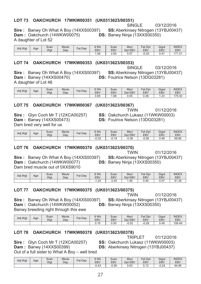### LOT 73 OAKCHURCH 17WKW00351 (UK0313623/00351)

SINGLE 03/12/2016 **SS: Aberkinsey Nitrogen (13YBJ00437)** 

**Sire:** Banwy Oh What A Boy (14XXS00397) Dam: Oakchurch (14WKW00075) A daughter of Lot 52

DS: Banwy Ninja (13XXS00350)

| Adj Wgt | Age | Scan<br>Wat | <b>Mscle</b><br>Dep | $=$ at<br>Dep | 9 Wk<br>EBV | Scan<br>EBV | <b>Mscl</b><br>EBV<br>Dpt | Fat Dpt<br>EBV | Gigot<br><b>EBV</b> | <b>INDEX</b><br><b>EBV</b> |
|---------|-----|-------------|---------------------|---------------|-------------|-------------|---------------------------|----------------|---------------------|----------------------------|
|         |     |             |                     |               | .06         | 2.65        | . 57<br>.co               | $-0.20$        | 0.47                | 174.04<br>، ن.             |

### LOT 74 OAKCHURCH 17WKW00353 (UK0313623/00353)

Sire: Banwy Oh What A Boy (14XXS00397) **Dam: Banwy (14XXS00470)** A daughter of Lot 46

**SINGLE** 03/12/2016 SS: Aberkinsey Nitrogen (13YBJ00437) DS: Foulrice Nelson (13DG03281)

| Adj Wgt | Age | Scan<br>Wat | <b>Mscle</b><br>Dep | $Fat$ Dep | ९ Wk<br><b>EBV</b> | $\sim$<br>Scan<br>EBV | <b>Mscl</b><br>Dpt<br><b>EBV</b> | Dpt<br>Fat<br><b>EBV</b> | Gigot<br>EB\   | <b>INDEX</b><br><b>EBV</b> |
|---------|-----|-------------|---------------------|-----------|--------------------|-----------------------|----------------------------------|--------------------------|----------------|----------------------------|
|         |     |             |                     |           | O E<br>U.85        | .98                   | 155<br>∪.ບບ                      | 0.38                     | $\cap$<br>ں ے. | 175<br>75.30               |

### LOT 75 OAKCHURCH 17WKW00367 (UK0313623/00367)

Sire: Glyn Coch Mr T (12XCA00257) **Dam: Banwy (14XXS00473)** Dam bred very well for us

**TWIN** 01/12/2016 SS: Oakchurch Lukasz (11WKW00003) **DS: Foulrice Nelson (13DG03281)** 

| Adi Wat | Age | Scan<br>Wat | <b>Mscle</b><br>Dep | <b>Fat Dep</b> | ९ Wk<br><b>EBV</b> | Scan<br><b>EBV</b> | Mscl<br>Dpt EBV | <b>Fat Dpt</b><br><b>EBV</b> | Gigot<br>EBV | <b>INDEX</b><br><b>EBV</b> |
|---------|-----|-------------|---------------------|----------------|--------------------|--------------------|-----------------|------------------------------|--------------|----------------------------|
|         |     |             |                     |                | റാറ<br>-∪.3∠       | $-0.19$            | $-0.36$         | $-0.56$                      | 0.48         | 69.66                      |

### LOT 76 OAKCHURCH 17WKW00370 (UK0313623/00370)

Sire: Banwy Oh What A Boy (14XXS00397) Dam: Oakchurch (14WKW00077) Dam bred muscle out of 0XXS9010

**Sire:** Banwy Oh What A Boy (14XXS00397)

**TWIN** 01/12/2016 SS: Aberkinsey Nitrogen (13YBJ00437) DS: Banwy Ninja (13XXS00350)

| Adj Wgt | Age | Scan<br>Wgt | <b>Mscle</b><br>Dep | Fat<br>Dep | ९ Wk<br>EBV | Scan<br>EBV | <b>Mscl</b><br><b>EBV</b><br>Dpt | <b>Fat Dpt</b><br>EBV | Gigot<br><b>EBV</b> | <b>INDEX</b><br>EBV |
|---------|-----|-------------|---------------------|------------|-------------|-------------|----------------------------------|-----------------------|---------------------|---------------------|
|         |     |             |                     |            | .20<br>-    | $-3.45$     | . 46                             | 0.49                  | E7<br>U.57          | 91.39               |

### LOT 77 OAKCHURCH 17WKW00375 (UK0313623/00375)

**TWIN** 01/12/2016 **SS: Aberkinsey Nitrogen (13YBJ00437)** DS: Banwy Ninja (13XXS00350)

Banwy breeding right through this ewe

Dam: Oakchurch (14WKW00052)

| Adj Wgt | Age | Scan<br>Wgt | <b>Mscle</b><br>Dep | $Fat$ .<br>Dep | 8 Wk<br><b>EBV</b> | Scan<br><b>EBV</b> | <b>Msci</b><br>Dpt EBV | Fat<br>Dpt<br>EBV | Gigot<br><b>EBV</b> | <b>INDEX</b><br><b>EBV</b> |
|---------|-----|-------------|---------------------|----------------|--------------------|--------------------|------------------------|-------------------|---------------------|----------------------------|
|         |     |             |                     |                | AC                 | 50<br>u.ju         | $-0.02$                | ററ<br>∪.∠ŏ        | 0.49                | 106.49                     |

### LOT 78 OAKCHURCH 17WKW00378 (UK0313623/00378)

**TRIPLET** 01/12/2016

Sire: Glyn Coch Mr T (12XCA00257) SS: Oakchurch Lukasz (11WKW00003) **Dam: Banwy (14XXS00399) DS: Aberkinsey Nitrogen (13YBJ00437)** 

Out of a full sister to What A Boy - well bred

| Adj Wgt | Age | Scan<br>Wat | <b>Mscle</b><br>Dep | Fat Dep | ९ Wk<br><b>EBV</b> | Scan<br><b>EBV</b> | <b>Mscl</b><br>Dpt EBV | <b>Fat Dpt</b><br>EBV | Gigot<br>EBV | <b>INDEX</b><br>EBV |
|---------|-----|-------------|---------------------|---------|--------------------|--------------------|------------------------|-----------------------|--------------|---------------------|
|         |     |             |                     |         | $-0.43$            | $-0.90$            | 0.63                   | $\sqrt{2}$<br>ບ. ເບ   | $-0.24$      | 94.96               |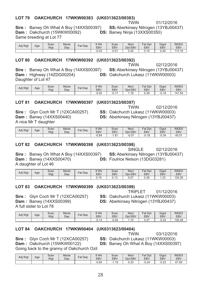### **LOT 79 - 
-**

01/12/2016 TWIN<br>1904 Ditroger (13YD IOO

**Sire :** Banwy Oh What A B<br>**Dam :** Ookebureb (15) WAM a<br>n **Dam:** Oakchurch (15WKW00092) **DS:** B<br>Seme breading at Let 77 Same breeding at Lot 77

<sup>&</sup>gt;   > ! 
" anwy Ninja (13XXS00350)

| Adj Wgt | Age | Scan<br>Wat | <b>Mscle</b><br>Dep | $at$ .<br>Dep | 8 Wk<br>EBV | Scan<br><b>EBV</b> | <b>Mscl</b><br>Dpt EBV | Fat<br>Dpt<br>EBV | Gigot<br>EBV | <b>INDEX</b><br><b>EBV</b> |
|---------|-----|-------------|---------------------|---------------|-------------|--------------------|------------------------|-------------------|--------------|----------------------------|
|         |     |             |                     |               | $-0.03$     | 0.01               | 0.20                   | 0.19              | 0.49         | 113.16                     |

### **-**

**Sire :** Banwy Oh What A B<br>**Dam :** Highway (147DC000 a<br>: **Dam:** Highway (14ZDG00204) **DS**: Oa<br>Deventer of Let 47 Daughter of Lot 47

 )7
)7)
5 <sup>&</sup>gt;   > ! 
" kchurch Lukasz (11WKW00003)

| Adj Wgt | Age | Scan<br>Wgt | <b>Mscle</b><br>Dep | $F$ at<br>Dep | 8 Wk<br><b>EBV</b> | Scan<br><b>EBV</b>   | <b>Mscl</b><br>Dpt EBV | Fat<br>Dpt<br><b>EBV</b> | Gigot<br><b>EBV</b> | <b>INDEX</b><br><b>EBV</b> |
|---------|-----|-------------|---------------------|---------------|--------------------|----------------------|------------------------|--------------------------|---------------------|----------------------------|
|         |     |             |                     |               | $-0.02$            | $\rightarrow$<br>−∪. | $\triangle$            | 0.39                     | ∩ ⊿∩<br>-U.IC       | 141.54                     |

### **-**

**Sire:** Glyn Coch Mr T (12XCA00257) **SS:** Oa<br>Dem + Benux (14XXS00440) **Dam: Banwy (14XXS00440)** ี<br>nwy (14XXS00440) **DS:** Aberkinsey Nitrogen (13YBJ00437)<br>T.doughter A nice Mr T daughter

02/12/2016 کا ایس ایران<br>۱٫۱٬۷۵۵٬۹٬۸٬۷٬۸٬۵۵۵۵٬ kchurch Lukasz (11WKW00003)<br>erkineev Nitresen (13YB I00437)

| Adj Wgt | Age | Scan<br>Wat | <b>Mscle</b><br>Dec | ⊏at<br>Dep | 8 Wk<br><b>EBV</b> | Scan<br><b>EBV</b>          | <b>Mscl</b><br>Dpt EBV | Fat<br>Dpt<br><b>EBV</b> | Gigot<br>EBV | <b>INDEX</b><br><b>EBV</b> |
|---------|-----|-------------|---------------------|------------|--------------------|-----------------------------|------------------------|--------------------------|--------------|----------------------------|
|         |     |             |                     |            | $-0.84$            | O <sub>4</sub><br>-<br>ن. ا | $-0.07$                | .18<br>$-1$ .            | $-0.34$      | 45.01                      |

### **-**

SINGLE 02/12/2016<br>ipsev Nitrogen (12VB I004

oy (14XXS00397) **SS:** Aberkinsey Nitrogen (13YBJ00437)<br>**RS: Equirics Nology (13DC03381) DS:** Foulrice Nelson (13DG03281)

**Sire :** Banwy Oh What A B<br>**Dem :** Benuw (14YYS0047) **Dam: Banwy (14XXS00470)** a<br>^

| A daughter of Lot 46 |     |      |              |         |            |            |             |            |            |              |
|----------------------|-----|------|--------------|---------|------------|------------|-------------|------------|------------|--------------|
| Adj Wgt              |     | Scan | <b>Mscle</b> | Fat Dep | 8 Wk       | Scan       | <b>Mscl</b> | Fat Dpt    | Gigot      | <b>INDEX</b> |
|                      | Age | Wat  | Dep          |         | <b>EBV</b> | <b>EBV</b> | Dpt EBV     | <b>EBV</b> | <b>EBV</b> | <b>EBV</b>   |
|                      |     |      |              |         | 0.40       | 0.40       | 0.07        | 0.00       | $\sqrt{2}$ | 10000        |

 $0.13$ 

### **-**

;80 7
)7)
5

 $1.23$ 

130.28

 $0.38$ 

**Sire:** Glyn Coch Mr T (12XCA00257) **SS:** Oa<br>Dem + Benus (14XXS00200) kchurch Lukasz (11WKW00003)<br>erkineev Nitresen (13YB I00427)

>   > ! 
"

 $0.07$ 

**Dam: Banwy (14XXS00399)** a<br>^ A full sister to Lot 78

| Adj Wgt | Age | Scan<br>Wat | <b>Mscle</b><br>Dep | $F_{at}$<br>Dep | 8 Wk<br>EBV            | Scan<br><b>EBV</b> | <b>Msci</b><br>Dpt EBV | Fat<br>Dpt<br><b>EBV</b> | Gigot<br><b>EBV</b> | <b>INDEX</b><br><b>EBV</b> |
|---------|-----|-------------|---------------------|-----------------|------------------------|--------------------|------------------------|--------------------------|---------------------|----------------------------|
|         |     |             |                     |                 | $^{\circ}$ 14<br>-v. 1 | $-0.04$            | $\cdots$               | .07<br>U.Z               | റാ<br>-v.∠4         | 126.28                     |

 $0.16$ 

4 5 1.23 1 130.28 1 1.23 1 1.23 1 1.23 1 1.23 1 1.24 1 1.24 1 1.25 1 1.25 1 1.25 1 1.25 1 1.25 1 1.25 1 1.25 1

### LOT 84 OAKCHURCH 17WKW00404 (UK0313623/00404)

**Sire:** Glyn Coch Mr T (12XCA00257) **SS:** Oa<br>Dem + Ookebureb (15\\\/\\/\\/\00122) **Dam:** Oakchurch (15WKW00122) **DS:** B

 7
)7)
5 kchurch Lukasz (11WKW00003)<br>nuv Ob Whot A Rev (14YXS003) anwy Oh What A Boy (14XXS00397)

Going back to the granny of Oakchurch Ozil

| Adj Wgt | Age | Scan<br>Wat | <b>Mscle</b><br>Dep | Fat<br>Dep | 9 Wk<br><b>EBV</b> | Scan<br>EBV | <b>Mscl</b><br>Dpt EBV | $\Gamma_{\Omega}$ +<br>Dpt<br>'dl<br>EBV | Gigot<br><b>EBV</b> | <b>INDEX</b><br>EBV |
|---------|-----|-------------|---------------------|------------|--------------------|-------------|------------------------|------------------------------------------|---------------------|---------------------|
|         |     |             |                     |            | $-0.60$            | .19<br>- 1  | 0.33                   | $\sim$ $\sim$ $\lambda$<br>-0.24         | റ ററ<br>-U.Zu       | 67.65               |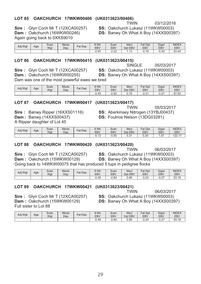# 29

### LOT 85 OAKCHURCH 17WKW00406 (UK0313623/00406)

Sire: Glyn Coch Mr T (12XCA00257) Again going back to 0XXS9010

# Dam: Oakchurch (16WKW00246)

#### Scan **Mscle**  $8$  Wk Scan Mscl Fat Dpt **INDEX** Gigot Adj Wgt Age Fat Dep **EBV** EBV Dpt EBV EBV EBV EBV Wgt Dep  $-0.93$  $-2.22$  $1.13$  $-0.18$  $-0.30$ 83.44

### **LOT 86** OAKCHURCH 17WKW00415 (UK0313623/00415)

Sire: Glyn Coch Mr T (12XCA00257)

**SINGLE** 05/03/2017 SS: Oakchurch Lukasz (11WKW00003) **DS:** Banwy Oh What A Boy (14XXS00397)

Dam: Oakchurch (16WKW00255) Dam was one of the most powerful ewes we bred

| Adj Wgt | Age | Scan<br>Wgt | <b>Mscle</b><br>Dep | $F$ at Dep | $3$ Wk<br>EBV | Scan<br>EBV | <b>Mscl</b><br>Dpt<br>EBV | <b>Fat Dpt</b><br>EBV | Gigot<br>EB\    | <b>INDEX</b><br><b>EBV</b> |
|---------|-----|-------------|---------------------|------------|---------------|-------------|---------------------------|-----------------------|-----------------|----------------------------|
|         |     |             |                     |            | $-0.49$       | $-0.92$     | 7 <sup>C</sup><br>v. 1 v  | $\sim$                | $\sim$<br>-∪.∠. | 0702<br>87. IO             |

#### **LOT 87** OAKCHURCH 17WKW00417 (UK0313623/00417)

**Sire: Banwy Ripper (16XXS01116) Dam: Banwy (14XXS00437)** A Ripper daughter of Lot 45

**TWIN** 05/03/2017 **SS: Aberkinsey Nitrogen (13YBJ00437)** 

DS: Foulrice Nelson (13DG03281)

| Adj Wgt | Age | Scan<br>Wqt | <b>Mscle</b><br>Dep | $F_{\text{at}}$<br>Dep | 3 Wk<br><b>EBV</b>     | Scan<br><b>EBV</b> | <b>Mscl</b><br>D <sub>pt</sub><br><b>EBV</b> | <b>Fat Dpt</b><br>EBV | Gigot<br>EBV  | <b>INDEX</b><br><b>EBV</b> |
|---------|-----|-------------|---------------------|------------------------|------------------------|--------------------|----------------------------------------------|-----------------------|---------------|----------------------------|
|         |     |             |                     |                        | $\Lambda$<br>−∪.<br>⊣౪ | $-0.50$            | ົ່<br>∪.ບ                                    | 0.20                  | $\sim$<br>، U | 0017<br>$- - - -$          |

#### **LOT 88** OAKCHURCH 17WKW00420 (UK0313623/00420)

Sire: Glyn Coch Mr T (12XCA00257) Dam: Oakchurch (15WKW00129)

**TWIN** 06/03/2017 **SS: Oakchurch Lukasz (11WKW00003) DS:** Banwy Oh What A Boy (14XXS00397)

Going back to 14WKW00075 that has produced 5 tups in pedigree flocks

| Adj Wgt | Age | Scan<br>Wqt | <b>Mscle</b><br>Dep | <b>Fat Dep</b> | 9 Wk<br>EBV | Scan<br>EBV | <b>Mscl</b><br>Dpt<br>EBV | Fat Dpt<br>EBV | Gigot<br>EB <sub>V</sub> | <b>INDEX</b><br><b>EBV</b> |
|---------|-----|-------------|---------------------|----------------|-------------|-------------|---------------------------|----------------|--------------------------|----------------------------|
|         |     |             |                     |                | $-0.49$     | $-0.84$     | 0.86                      | $-0.24$        | $\sim$ $-$<br>−∪.∠.      | 93.18                      |

#### **LOT 89** OAKCHURCH 17WKW00421 1 UNU 31 3 42 I J

06/03/2017

SS: Oakchurch Lukasz (11WKW00003) **DS:** Banwy Oh What A Boy (14XXS00397)

**TWIN** 

Dam: Oakchurch (15WKW00129) Full sister to Lot 88

Sire: Glyn Coch Mr T (12XCA00257)

| Adj Wgt | Age | Scan<br>Wgt | <b>Mscle</b><br>Dep | <b>Fat Dep</b> | 3 Wk<br><b>EBV</b> | Scan<br><b>EBV</b> | <b>Mscl</b><br><b>EBV</b><br>Dpt | $E \sim$<br>Dpt<br>"dl<br><b>EBV</b> | Gigot<br><b>EBV</b> | <b>INDEX</b><br><b>EBV</b> |
|---------|-----|-------------|---------------------|----------------|--------------------|--------------------|----------------------------------|--------------------------------------|---------------------|----------------------------|
|         |     |             |                     |                | 0.49               | $-0.84$            | 0.86                             | $-0.24$                              | 0.07<br>-v.z.       | 93.18                      |

03/12/2016

SS: Oakchurch Lukasz (11WKW00003)

**DS: Banwy Oh What A Boy (14XXS00397)** 

**TWIN** 

|  | (UK0313623/00421) |  |
|--|-------------------|--|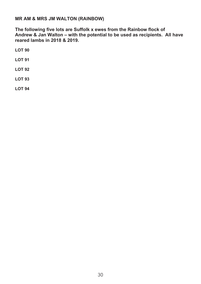### **MR AM & MRS JM WALTON (RAINBOW)**

The following five lots are Suffolk x ewes from the Rainbow flock of Andrew & Jan Walton - with the potential to be used as recipients. All have reared lambs in 2018 & 2019.

**LOT 90** 

**LOT 91** 

**LOT 92** 

**LOT 93** 

**LOT 94**